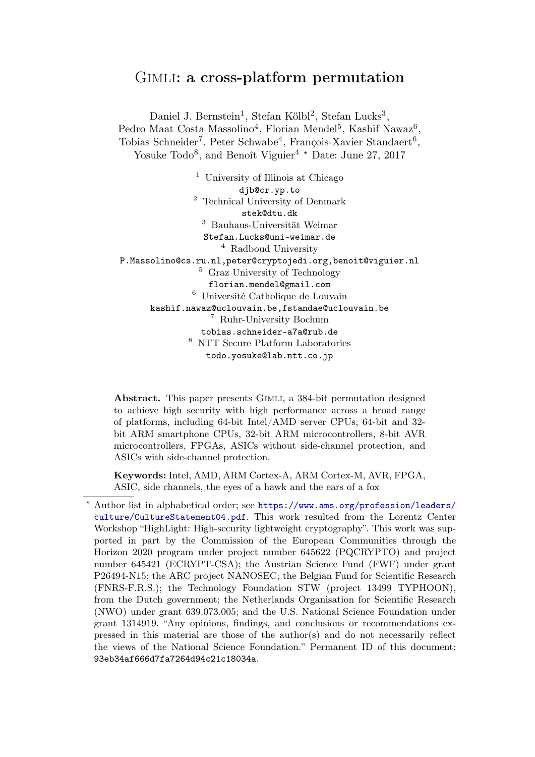# Gimli: a cross-platform permutation

Daniel J. Bernstein<sup>1</sup>, Stefan Kölbl<sup>2</sup>, Stefan Lucks<sup>3</sup>, Pedro Maat Costa Massolino<sup>4</sup>, Florian Mendel<sup>5</sup>, Kashif Nawaz<sup>6</sup>, Tobias Schneider<sup>7</sup>, Peter Schwabe<sup>4</sup>, François-Xavier Standaert<sup>6</sup>, Yosuke Todo<sup>8</sup>, and Benoît Viguier<sup>4</sup> \* Date: June 27, 2017

<sup>1</sup> University of Illinois at Chicago djb@cr.yp.to <sup>2</sup> Technical University of Denmark stek@dtu.dk <sup>3</sup> Bauhaus-Universität Weimar Stefan.Lucks@uni-weimar.de <sup>4</sup> Radboud University P.Massolino@cs.ru.nl,peter@cryptojedi.org,benoit@viguier.nl <sup>5</sup> Graz University of Technology florian.mendel@gmail.com  $^{\rm 6}$ Université Catholique de Louvain kashif.nawaz@uclouvain.be,fstandae@uclouvain.be <sup>7</sup> Ruhr-University Bochum tobias.schneider-a7a@rub.de <sup>8</sup> NTT Secure Platform Laboratories todo.yosuke@lab.ntt.co.jp

Abstract. This paper presents GIMLI, a 384-bit permutation designed to achieve high security with high performance across a broad range of platforms, including 64-bit Intel/AMD server CPUs, 64-bit and 32 bit ARM smartphone CPUs, 32-bit ARM microcontrollers, 8-bit AVR microcontrollers, FPGAs, ASICs without side-channel protection, and ASICs with side-channel protection.

Keywords: Intel, AMD, ARM Cortex-A, ARM Cortex-M, AVR, FPGA, ASIC, side channels, the eyes of a hawk and the ears of a fox

<sup>?</sup> Author list in alphabetical order; see [https://www.ams.org/profession/leaders/](https://www.ams.org/profession/leaders/culture/CultureStatement04.pdf) [culture/CultureStatement04.pdf](https://www.ams.org/profession/leaders/culture/CultureStatement04.pdf). This work resulted from the Lorentz Center Workshop "HighLight: High-security lightweight cryptography". This work was supported in part by the Commission of the European Communities through the Horizon 2020 program under project number 645622 (PQCRYPTO) and project number 645421 (ECRYPT-CSA); the Austrian Science Fund (FWF) under grant P26494-N15; the ARC project NANOSEC; the Belgian Fund for Scientific Research (FNRS-F.R.S.); the Technology Foundation STW (project 13499 TYPHOON), from the Dutch government; the Netherlands Organisation for Scientific Research (NWO) under grant 639.073.005; and the U.S. National Science Foundation under grant 1314919. "Any opinions, findings, and conclusions or recommendations expressed in this material are those of the author(s) and do not necessarily reflect the views of the National Science Foundation." Permanent ID of this document: 93eb34af666d7fa7264d94c21c18034a.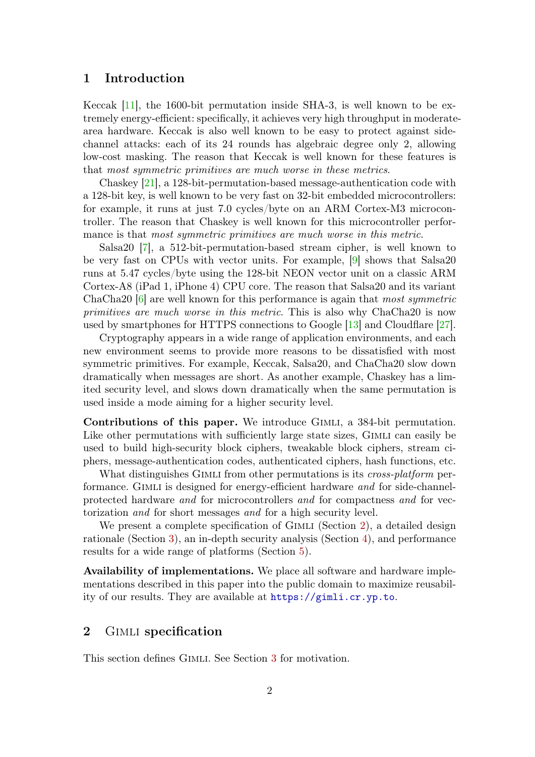## <span id="page-1-1"></span>1 Introduction

Keccak [\[11\]](#page-18-0), the 1600-bit permutation inside SHA-3, is well known to be extremely energy-efficient: specifically, it achieves very high throughput in moderatearea hardware. Keccak is also well known to be easy to protect against sidechannel attacks: each of its 24 rounds has algebraic degree only 2, allowing low-cost masking. The reason that Keccak is well known for these features is that most symmetric primitives are much worse in these metrics.

Chaskey [\[21\]](#page-20-0), a 128-bit-permutation-based message-authentication code with a 128-bit key, is well known to be very fast on 32-bit embedded microcontrollers: for example, it runs at just 7.0 cycles/byte on an ARM Cortex-M3 microcontroller. The reason that Chaskey is well known for this microcontroller performance is that most symmetric primitives are much worse in this metric.

Salsa20 [\[7\]](#page-18-1), a 512-bit-permutation-based stream cipher, is well known to be very fast on CPUs with vector units. For example, [\[9\]](#page-18-2) shows that Salsa20 runs at 5.47 cycles/byte using the 128-bit NEON vector unit on a classic ARM Cortex-A8 (iPad 1, iPhone 4) CPU core. The reason that Salsa20 and its variant ChaCha<sub>20</sub> [\[6\]](#page-18-3) are well known for this performance is again that most symmetric primitives are much worse in this metric. This is also why ChaCha20 is now used by smartphones for HTTPS connections to Google [\[13\]](#page-20-1) and Cloudflare [\[27\]](#page-21-0).

Cryptography appears in a wide range of application environments, and each new environment seems to provide more reasons to be dissatisfied with most symmetric primitives. For example, Keccak, Salsa20, and ChaCha20 slow down dramatically when messages are short. As another example, Chaskey has a limited security level, and slows down dramatically when the same permutation is used inside a mode aiming for a higher security level.

Contributions of this paper. We introduce Gimli, a 384-bit permutation. Like other permutations with sufficiently large state sizes, GIMLI can easily be used to build high-security block ciphers, tweakable block ciphers, stream ciphers, message-authentication codes, authenticated ciphers, hash functions, etc.

What distinguishes GIMLI from other permutations is its *cross-platform* performance. Gimli is designed for energy-efficient hardware and for side-channelprotected hardware and for microcontrollers and for compactness and for vectorization and for short messages and for a high security level.

We present a complete specification of GIMLI (Section [2\)](#page-1-0), a detailed design rationale (Section [3\)](#page-3-0), an in-depth security analysis (Section [4\)](#page-8-0), and performance results for a wide range of platforms (Section [5\)](#page-11-0).

Availability of implementations. We place all software and hardware implementations described in this paper into the public domain to maximize reusability of our results. They are available at <https://gimli.cr.yp.to>.

## <span id="page-1-0"></span>2 Gimli specification

This section defines GIMLI. See Section [3](#page-3-0) for motivation.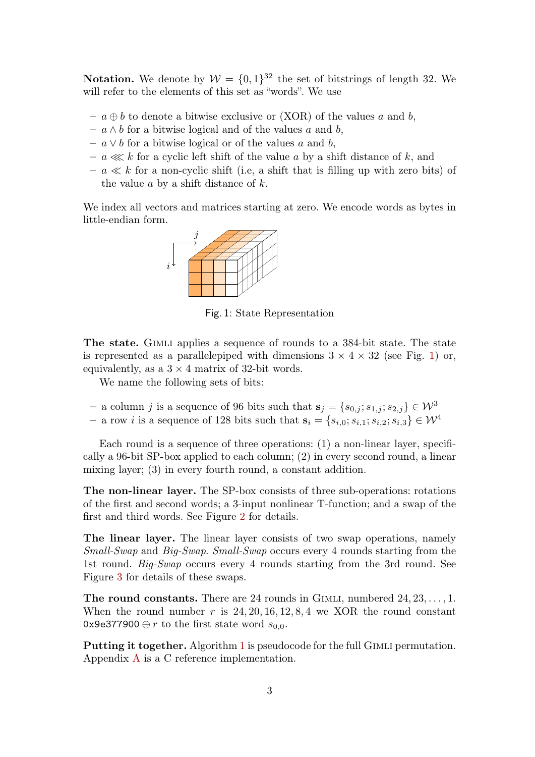**Notation.** We denote by  $W = \{0, 1\}^{32}$  the set of bitstrings of length 32. We will refer to the elements of this set as "words". We use

- $a ⊕ b$  to denote a bitwise exclusive or (XOR) of the values a and b,
- $a \wedge b$  for a bitwise logical and of the values a and b,
- a ∨ b for a bitwise logical or of the values a and b,
- $− a \ll k$  for a cyclic left shift of the value a by a shift distance of k, and
- $a \ll k$  for a non-cyclic shift (i.e, a shift that is filling up with zero bits) of the value  $a$  by a shift distance of  $k$ .

We index all vectors and matrices starting at zero. We encode words as bytes in little-endian form.



<span id="page-2-0"></span>Fig. 1: State Representation

The state. Gimli applies a sequence of rounds to a 384-bit state. The state is represented as a parallelepiped with dimensions  $3 \times 4 \times 32$  (see Fig. [1\)](#page-2-0) or, equivalently, as a  $3 \times 4$  matrix of 32-bit words.

We name the following sets of bits:

- a column j is a sequence of 96 bits such that  $s_j = \{s_{0,j}; s_{1,j}; s_{2,j}\} \in \mathcal{W}^3$
- a row *i* is a sequence of 128 bits such that  $s_i = \{s_{i,0}; s_{i,1}; s_{i,2}; s_{i,3}\}$  ∈  $W^4$

Each round is a sequence of three operations: (1) a non-linear layer, specifically a 96-bit SP-box applied to each column; (2) in every second round, a linear mixing layer; (3) in every fourth round, a constant addition.

The non-linear layer. The SP-box consists of three sub-operations: rotations of the first and second words; a 3-input nonlinear T-function; and a swap of the first and third words. See Figure [2](#page-3-1) for details.

The linear layer. The linear layer consists of two swap operations, namely Small-Swap and Big-Swap. Small-Swap occurs every 4 rounds starting from the 1st round. Big-Swap occurs every 4 rounds starting from the 3rd round. See Figure [3](#page-3-2) for details of these swaps.

The round constants. There are 24 rounds in GIMLI, numbered  $24, 23, \ldots, 1$ . When the round number r is  $24, 20, 16, 12, 8, 4$  we XOR the round constant 0x9e377900  $\oplus r$  to the first state word  $s_{0,0}$ .

Putting it together. Algorithm [1](#page-4-0) is pseudocode for the full GIMLI permutation. Appendix [A](#page-22-0) is a C reference implementation.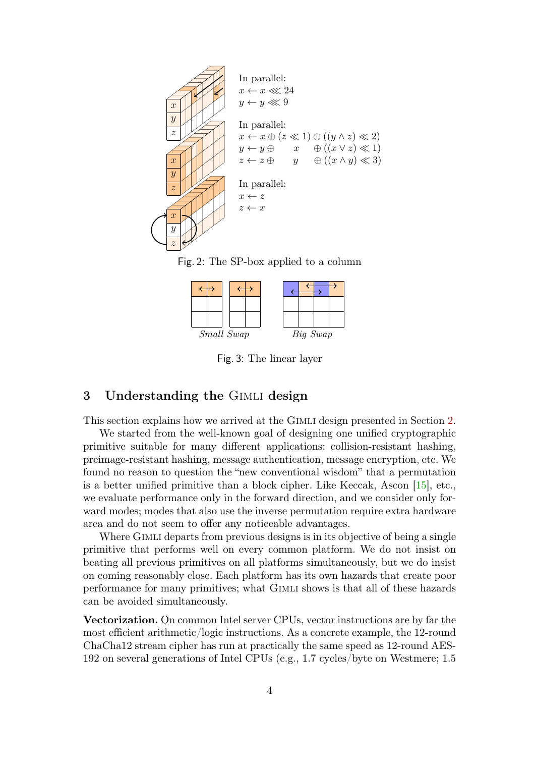<span id="page-3-3"></span>

<span id="page-3-1"></span>Fig. 2: The SP-box applied to a column



<span id="page-3-2"></span>Fig. 3: The linear layer

## <span id="page-3-0"></span>3 Understanding the Gimli design

This section explains how we arrived at the Gimli design presented in Section [2.](#page-1-0)

We started from the well-known goal of designing one unified cryptographic primitive suitable for many different applications: collision-resistant hashing, preimage-resistant hashing, message authentication, message encryption, etc. We found no reason to question the "new conventional wisdom" that a permutation is a better unified primitive than a block cipher. Like Keccak, Ascon [\[15\]](#page-20-2), etc., we evaluate performance only in the forward direction, and we consider only forward modes; modes that also use the inverse permutation require extra hardware area and do not seem to offer any noticeable advantages.

Where GIMLI departs from previous designs is in its objective of being a single primitive that performs well on every common platform. We do not insist on beating all previous primitives on all platforms simultaneously, but we do insist on coming reasonably close. Each platform has its own hazards that create poor performance for many primitives; what Gimli shows is that all of these hazards can be avoided simultaneously.

Vectorization. On common Intel server CPUs, vector instructions are by far the most efficient arithmetic/logic instructions. As a concrete example, the 12-round ChaCha12 stream cipher has run at practically the same speed as 12-round AES-192 on several generations of Intel CPUs (e.g., 1.7 cycles/byte on Westmere; 1.5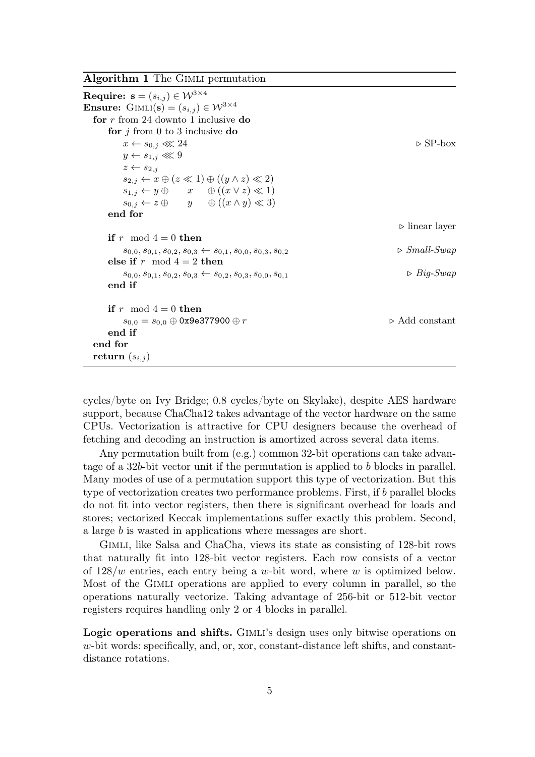<span id="page-4-0"></span>Algorithm 1 The GIMLI permutation

Require:  $\mathbf{s} = (s_{i,j}) \in \mathcal{W}^{3 \times 4}$ Ensure: GIMLI(s) =  $(s_{i,j}) \in \mathcal{W}^{3 \times 4}$ for  $r$  from 24 downto 1 inclusive do for  $j$  from 0 to 3 inclusive do  $x \leftarrow s_{0,j} \ll 24$  . SP-box  $y \leftarrow s_{1,j} \ll 9$  $z \leftarrow s_{2,i}$  $s_{2,j} \leftarrow x \oplus (z \ll 1) \oplus ((y \wedge z) \ll 2)$  $s_{1,j} \leftarrow y \oplus x \quad \oplus ((x \vee z) \ll 1)$  $s_{0,j} \leftarrow z \oplus y \quad \oplus ((x \wedge y) \ll 3)$ end for  $\triangleright$  linear layer if r mod  $4 = 0$  then  $s_{0,0}, s_{0,1}, s_{0,2}, s_{0,3} \leftarrow s_{0,1}, s_{0,0}, s_{0,3}, s_{0,2}$   $\triangleright \textit{Small-Swap}$ else if  $r \mod 4 = 2$  then  $s_{0,0}, s_{0,1}, s_{0,2}, s_{0,3} \leftarrow s_{0,2}, s_{0,3}, s_{0,0}, s_{0,1}$   $\triangleright$   $Big\}$ end if if r mod  $4 = 0$  then  $s_{0,0} = s_{0,0} \oplus 0$ x9e377900  $\oplus r$   $\triangleright$  Add constant end if end for return  $(s_{i,j})$ 

cycles/byte on Ivy Bridge; 0.8 cycles/byte on Skylake), despite AES hardware support, because ChaCha12 takes advantage of the vector hardware on the same CPUs. Vectorization is attractive for CPU designers because the overhead of fetching and decoding an instruction is amortized across several data items.

Any permutation built from (e.g.) common 32-bit operations can take advantage of a 32b-bit vector unit if the permutation is applied to b blocks in parallel. Many modes of use of a permutation support this type of vectorization. But this type of vectorization creates two performance problems. First, if b parallel blocks do not fit into vector registers, then there is significant overhead for loads and stores; vectorized Keccak implementations suffer exactly this problem. Second, a large b is wasted in applications where messages are short.

Gimli, like Salsa and ChaCha, views its state as consisting of 128-bit rows that naturally fit into 128-bit vector registers. Each row consists of a vector of  $128/w$  entries, each entry being a w-bit word, where w is optimized below. Most of the Gimli operations are applied to every column in parallel, so the operations naturally vectorize. Taking advantage of 256-bit or 512-bit vector registers requires handling only 2 or 4 blocks in parallel.

Logic operations and shifts. GIMLI's design uses only bitwise operations on w-bit words: specifically, and, or, xor, constant-distance left shifts, and constantdistance rotations.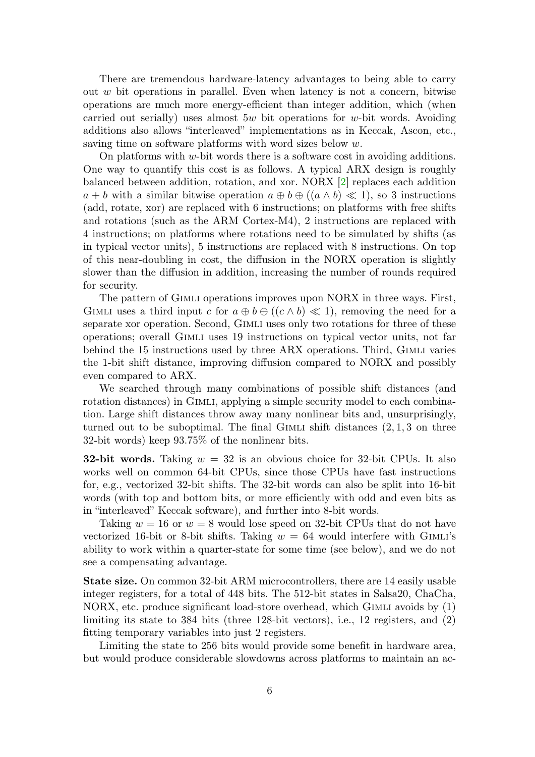<span id="page-5-0"></span>There are tremendous hardware-latency advantages to being able to carry out  $w$  bit operations in parallel. Even when latency is not a concern, bitwise operations are much more energy-efficient than integer addition, which (when carried out serially) uses almost  $5w$  bit operations for w-bit words. Avoiding additions also allows "interleaved" implementations as in Keccak, Ascon, etc., saving time on software platforms with word sizes below w.

On platforms with  $w$ -bit words there is a software cost in avoiding additions. One way to quantify this cost is as follows. A typical ARX design is roughly balanced between addition, rotation, and xor. NORX [\[2\]](#page-18-4) replaces each addition  $a + b$  with a similar bitwise operation  $a \oplus b \oplus ((a \wedge b) \ll 1)$ , so 3 instructions (add, rotate, xor) are replaced with 6 instructions; on platforms with free shifts and rotations (such as the ARM Cortex-M4), 2 instructions are replaced with 4 instructions; on platforms where rotations need to be simulated by shifts (as in typical vector units), 5 instructions are replaced with 8 instructions. On top of this near-doubling in cost, the diffusion in the NORX operation is slightly slower than the diffusion in addition, increasing the number of rounds required for security.

The pattern of Gimli operations improves upon NORX in three ways. First, GIMLI uses a third input c for  $a \oplus b \oplus ((c \wedge b) \ll 1)$ , removing the need for a separate xor operation. Second, GIMLI uses only two rotations for three of these operations; overall Gimli uses 19 instructions on typical vector units, not far behind the 15 instructions used by three ARX operations. Third, GIMLI varies the 1-bit shift distance, improving diffusion compared to NORX and possibly even compared to ARX.

We searched through many combinations of possible shift distances (and rotation distances) in GIMLI, applying a simple security model to each combination. Large shift distances throw away many nonlinear bits and, unsurprisingly, turned out to be suboptimal. The final GIMLI shift distances  $(2, 1, 3)$  on three 32-bit words) keep 93.75% of the nonlinear bits.

**32-bit words.** Taking  $w = 32$  is an obvious choice for 32-bit CPUs. It also works well on common 64-bit CPUs, since those CPUs have fast instructions for, e.g., vectorized 32-bit shifts. The 32-bit words can also be split into 16-bit words (with top and bottom bits, or more efficiently with odd and even bits as in "interleaved" Keccak software), and further into 8-bit words.

Taking  $w = 16$  or  $w = 8$  would lose speed on 32-bit CPUs that do not have vectorized 16-bit or 8-bit shifts. Taking  $w = 64$  would interfere with GIMLI's ability to work within a quarter-state for some time (see below), and we do not see a compensating advantage.

State size. On common 32-bit ARM microcontrollers, there are 14 easily usable integer registers, for a total of 448 bits. The 512-bit states in Salsa20, ChaCha, NORX, etc. produce significant load-store overhead, which Gimli avoids by (1) limiting its state to 384 bits (three 128-bit vectors), i.e., 12 registers, and (2) fitting temporary variables into just 2 registers.

Limiting the state to 256 bits would provide some benefit in hardware area, but would produce considerable slowdowns across platforms to maintain an ac-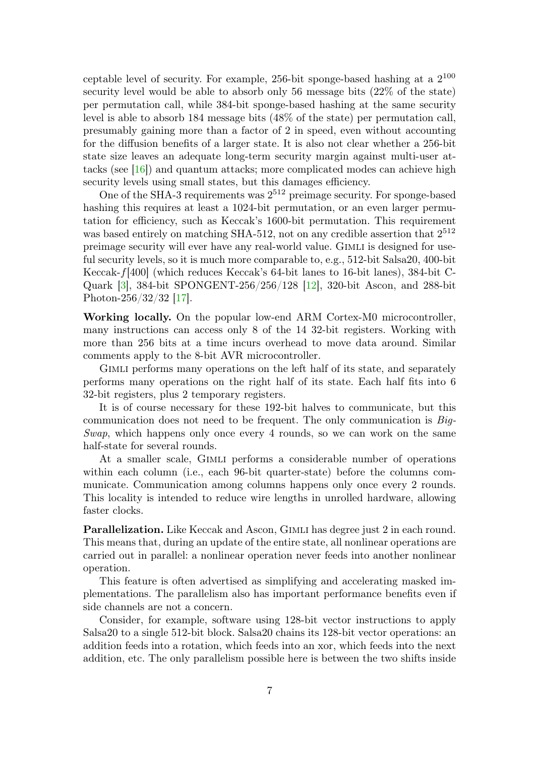<span id="page-6-0"></span>ceptable level of security. For example, 256-bit sponge-based hashing at a  $2^{100}$ security level would be able to absorb only 56 message bits (22% of the state) per permutation call, while 384-bit sponge-based hashing at the same security level is able to absorb 184 message bits (48% of the state) per permutation call, presumably gaining more than a factor of 2 in speed, even without accounting for the diffusion benefits of a larger state. It is also not clear whether a 256-bit state size leaves an adequate long-term security margin against multi-user attacks (see [\[16\]](#page-20-3)) and quantum attacks; more complicated modes can achieve high security levels using small states, but this damages efficiency.

One of the SHA-3 requirements was  $2^{512}$  preimage security. For sponge-based hashing this requires at least a 1024-bit permutation, or an even larger permutation for efficiency, such as Keccak's 1600-bit permutation. This requirement was based entirely on matching SHA-512, not on any credible assertion that  $2^{512}$ preimage security will ever have any real-world value. Gimli is designed for useful security levels, so it is much more comparable to, e.g., 512-bit Salsa20, 400-bit Keccak-f[400] (which reduces Keccak's 64-bit lanes to 16-bit lanes), 384-bit C-Quark [\[3\]](#page-18-5), 384-bit SPONGENT-256/256/128 [\[12\]](#page-20-4), 320-bit Ascon, and 288-bit Photon- $256/32/32$  [\[17\]](#page-20-5).

Working locally. On the popular low-end ARM Cortex-M0 microcontroller, many instructions can access only 8 of the 14 32-bit registers. Working with more than 256 bits at a time incurs overhead to move data around. Similar comments apply to the 8-bit AVR microcontroller.

Gimli performs many operations on the left half of its state, and separately performs many operations on the right half of its state. Each half fits into 6 32-bit registers, plus 2 temporary registers.

It is of course necessary for these 192-bit halves to communicate, but this communication does not need to be frequent. The only communication is Big-Swap, which happens only once every 4 rounds, so we can work on the same half-state for several rounds.

At a smaller scale, Gimli performs a considerable number of operations within each column (i.e., each 96-bit quarter-state) before the columns communicate. Communication among columns happens only once every 2 rounds. This locality is intended to reduce wire lengths in unrolled hardware, allowing faster clocks.

Parallelization. Like Keccak and Ascon, GIMLI has degree just 2 in each round. This means that, during an update of the entire state, all nonlinear operations are carried out in parallel: a nonlinear operation never feeds into another nonlinear operation.

This feature is often advertised as simplifying and accelerating masked implementations. The parallelism also has important performance benefits even if side channels are not a concern.

Consider, for example, software using 128-bit vector instructions to apply Salsa20 to a single 512-bit block. Salsa20 chains its 128-bit vector operations: an addition feeds into a rotation, which feeds into an xor, which feeds into the next addition, etc. The only parallelism possible here is between the two shifts inside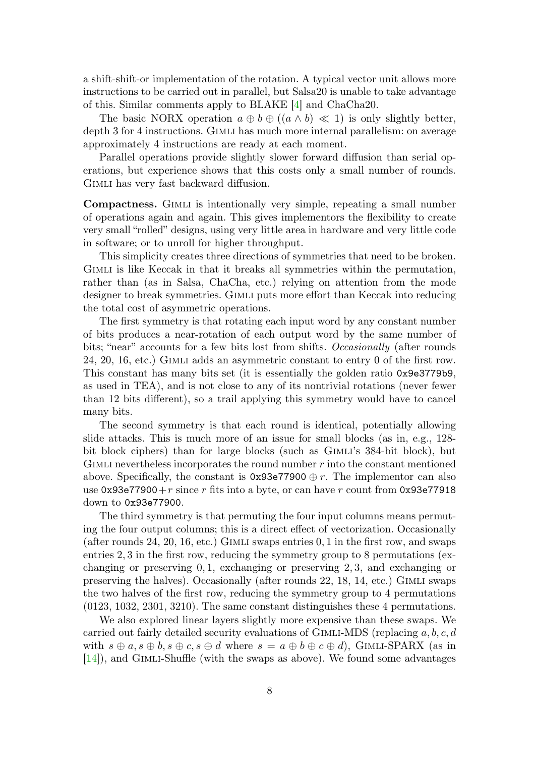<span id="page-7-0"></span>a shift-shift-or implementation of the rotation. A typical vector unit allows more instructions to be carried out in parallel, but Salsa20 is unable to take advantage of this. Similar comments apply to BLAKE [\[4\]](#page-18-6) and ChaCha20.

The basic NORX operation  $a \oplus b \oplus ((a \wedge b) \ll 1)$  is only slightly better, depth 3 for 4 instructions. GIMLI has much more internal parallelism: on average approximately 4 instructions are ready at each moment.

Parallel operations provide slightly slower forward diffusion than serial operations, but experience shows that this costs only a small number of rounds. Gimli has very fast backward diffusion.

Compactness. Gimli is intentionally very simple, repeating a small number of operations again and again. This gives implementors the flexibility to create very small "rolled" designs, using very little area in hardware and very little code in software; or to unroll for higher throughput.

This simplicity creates three directions of symmetries that need to be broken. Gimli is like Keccak in that it breaks all symmetries within the permutation, rather than (as in Salsa, ChaCha, etc.) relying on attention from the mode designer to break symmetries. Gimli puts more effort than Keccak into reducing the total cost of asymmetric operations.

The first symmetry is that rotating each input word by any constant number of bits produces a near-rotation of each output word by the same number of bits; "near" accounts for a few bits lost from shifts. Occasionally (after rounds 24, 20, 16, etc.) Gimli adds an asymmetric constant to entry 0 of the first row. This constant has many bits set (it is essentially the golden ratio 0x9e3779b9, as used in TEA), and is not close to any of its nontrivial rotations (never fewer than 12 bits different), so a trail applying this symmetry would have to cancel many bits.

The second symmetry is that each round is identical, potentially allowing slide attacks. This is much more of an issue for small blocks (as in, e.g., 128 bit block ciphers) than for large blocks (such as Gimli's 384-bit block), but GIMLI nevertheless incorporates the round number  $r$  into the constant mentioned above. Specifically, the constant is  $0x93e77900 \oplus r$ . The implementor can also use  $0x93e77900+r$  since r fits into a byte, or can have r count from  $0x93e77918$ down to 0x93e77900.

The third symmetry is that permuting the four input columns means permuting the four output columns; this is a direct effect of vectorization. Occasionally (after rounds 24, 20, 16, etc.) GIMLI swaps entries  $0, 1$  in the first row, and swaps entries 2, 3 in the first row, reducing the symmetry group to 8 permutations (exchanging or preserving  $0, 1$ , exchanging or preserving  $2, 3$ , and exchanging or preserving the halves). Occasionally (after rounds 22, 18, 14, etc.) Gimli swaps the two halves of the first row, reducing the symmetry group to 4 permutations (0123, 1032, 2301, 3210). The same constant distinguishes these 4 permutations.

We also explored linear layers slightly more expensive than these swaps. We carried out fairly detailed security evaluations of GIMLI-MDS (replacing  $a, b, c, d$ ) with  $s \oplus a$ ,  $s \oplus b$ ,  $s \oplus c$ ,  $s \oplus d$  where  $s = a \oplus b \oplus c \oplus d$ ), GIMLI-SPARX (as in  $[14]$ , and GIMLI-Shuffle (with the swaps as above). We found some advantages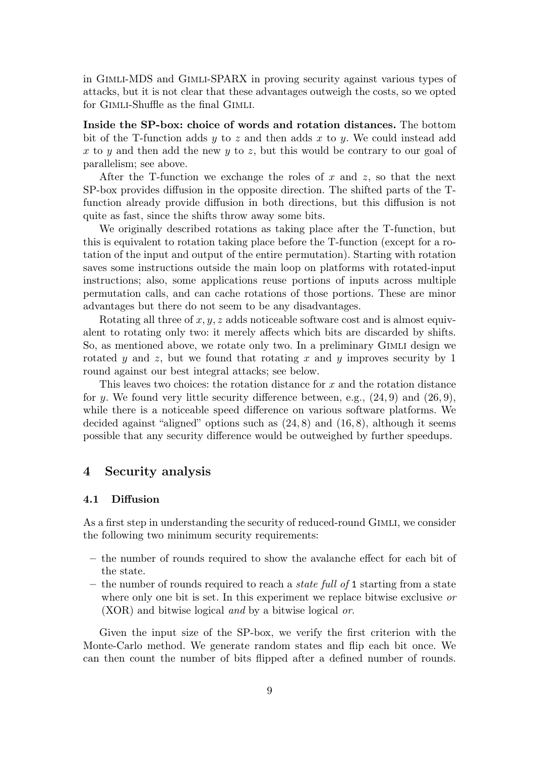in Gimli-MDS and Gimli-SPARX in proving security against various types of attacks, but it is not clear that these advantages outweigh the costs, so we opted for GIMLI-Shuffle as the final GIMLI.

Inside the SP-box: choice of words and rotation distances. The bottom bit of the T-function adds y to z and then adds x to y. We could instead add x to y and then add the new y to z, but this would be contrary to our goal of parallelism; see above.

After the T-function we exchange the roles of x and z, so that the next SP-box provides diffusion in the opposite direction. The shifted parts of the Tfunction already provide diffusion in both directions, but this diffusion is not quite as fast, since the shifts throw away some bits.

We originally described rotations as taking place after the T-function, but this is equivalent to rotation taking place before the T-function (except for a rotation of the input and output of the entire permutation). Starting with rotation saves some instructions outside the main loop on platforms with rotated-input instructions; also, some applications reuse portions of inputs across multiple permutation calls, and can cache rotations of those portions. These are minor advantages but there do not seem to be any disadvantages.

Rotating all three of  $x, y, z$  adds noticeable software cost and is almost equivalent to rotating only two: it merely affects which bits are discarded by shifts. So, as mentioned above, we rotate only two. In a preliminary GIMLI design we rotated  $y$  and  $z$ , but we found that rotating  $x$  and  $y$  improves security by 1 round against our best integral attacks; see below.

This leaves two choices: the rotation distance for x and the rotation distance for y. We found very little security difference between, e.g.,  $(24, 9)$  and  $(26, 9)$ , while there is a noticeable speed difference on various software platforms. We decided against "aligned" options such as  $(24, 8)$  and  $(16, 8)$ , although it seems possible that any security difference would be outweighed by further speedups.

### <span id="page-8-0"></span>4 Security analysis

#### 4.1 Diffusion

As a first step in understanding the security of reduced-round Gimli, we consider the following two minimum security requirements:

- the number of rounds required to show the avalanche effect for each bit of the state.
- the number of rounds required to reach a *state full of* 1 starting from a state where only one bit is set. In this experiment we replace bitwise exclusive *or* (XOR) and bitwise logical and by a bitwise logical or.

Given the input size of the SP-box, we verify the first criterion with the Monte-Carlo method. We generate random states and flip each bit once. We can then count the number of bits flipped after a defined number of rounds.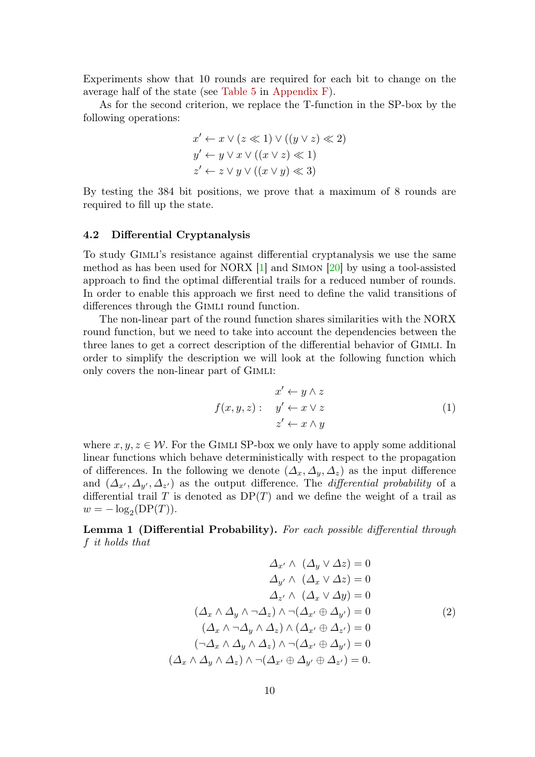<span id="page-9-0"></span>Experiments show that 10 rounds are required for each bit to change on the average half of the state (see [Table 5](#page-27-0) in [Appendix F\)](#page-27-1).

As for the second criterion, we replace the T-function in the SP-box by the following operations:

$$
x' \leftarrow x \lor (z \ll 1) \lor ((y \lor z) \ll 2)
$$
  

$$
y' \leftarrow y \lor x \lor ((x \lor z) \ll 1)
$$
  

$$
z' \leftarrow z \lor y \lor ((x \lor y) \ll 3)
$$

By testing the 384 bit positions, we prove that a maximum of 8 rounds are required to fill up the state.

#### 4.2 Differential Cryptanalysis

To study Gimli's resistance against differential cryptanalysis we use the same method as has been used for NORX [\[1\]](#page-18-7) and Simon [\[20\]](#page-20-7) by using a tool-assisted approach to find the optimal differential trails for a reduced number of rounds. In order to enable this approach we first need to define the valid transitions of differences through the GIMLI round function.

The non-linear part of the round function shares similarities with the NORX round function, but we need to take into account the dependencies between the three lanes to get a correct description of the differential behavior of Gimli. In order to simplify the description we will look at the following function which only covers the non-linear part of Gimli:

$$
x' \leftarrow y \land z
$$
  

$$
f(x, y, z): \quad y' \leftarrow x \lor z
$$
  

$$
z' \leftarrow x \land y
$$
  
(1)

where  $x, y, z \in \mathcal{W}$ . For the GIMLI SP-box we only have to apply some additional linear functions which behave deterministically with respect to the propagation of differences. In the following we denote  $(\Delta_x, \Delta_y, \Delta_z)$  as the input difference and  $(\Delta_{x'}, \Delta_{y'}, \Delta_{z'})$  as the output difference. The *differential probability* of a differential trail T is denoted as  $DP(T)$  and we define the weight of a trail as  $w = -\log_2(DP(T)).$ 

<span id="page-9-1"></span>Lemma 1 (Differential Probability). For each possible differential through f it holds that

$$
\Delta_{x'} \wedge (\Delta_y \vee \Delta z) = 0
$$

$$
\Delta_{y'} \wedge (\Delta_x \vee \Delta z) = 0
$$

$$
\Delta_{z'} \wedge (\Delta_x \vee \Delta y) = 0
$$

$$
(\Delta_x \wedge \Delta_y \wedge \neg \Delta_z) \wedge \neg (\Delta_{x'} \oplus \Delta_{y'}) = 0
$$

$$
(\Delta_x \wedge \neg \Delta_y \wedge \Delta_z) \wedge (\Delta_{x'} \oplus \Delta_{z'}) = 0
$$

$$
(\neg \Delta_x \wedge \Delta_y \wedge \Delta_z) \wedge \neg (\Delta_{x'} \oplus \Delta_{y'}) = 0
$$

$$
(\Delta_x \wedge \Delta_y \wedge \Delta_z) \wedge \neg (\Delta_{x'} \oplus \Delta_{y'}) = 0.
$$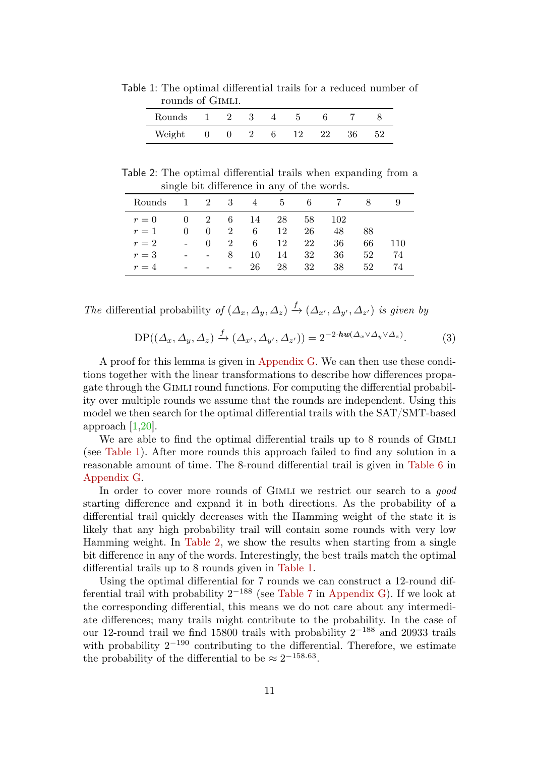<span id="page-10-2"></span>Table 1: The optimal differential trails for a reduced number of rounds of GIMLI.

<span id="page-10-0"></span>

| Rounds |  |  |    |    |    |    |
|--------|--|--|----|----|----|----|
| Weight |  |  | 19 | 22 | 36 | 広り |

<span id="page-10-1"></span>Table 2: The optimal differential trails when expanding from a single bit difference in any of the words.

| Rounds |          | $1 \t 2 \t 3$    |                |      | 4 5 | 6  | 7      |    | 9   |
|--------|----------|------------------|----------------|------|-----|----|--------|----|-----|
| $r=0$  | $\theta$ | 2                |                | 6 14 | 28  |    | 58 102 |    |     |
| $r=1$  | $\theta$ | $\theta$         | 2              | 6    | 12  | 26 | 48     | 88 |     |
| $r=2$  |          | $\left( \right)$ | $\overline{2}$ | 6    | 12  | 22 | 36     | 66 | 110 |
| $r=3$  |          |                  | 8              | 10   | 14  | 32 | 36     | 52 | 74  |
| $r=4$  |          |                  |                | 26   | 28  | 32 | 38     | 52 | 74  |

The differential probability of  $(\Delta_x, \Delta_y, \Delta_z) \stackrel{f}{\rightarrow} (\Delta_{x'}, \Delta_{y'}, \Delta_{z'})$  is given by

$$
DP((\Delta_x, \Delta_y, \Delta_z) \xrightarrow{f} (\Delta_{x'}, \Delta_{y'}, \Delta_{z'})) = 2^{-2 \cdot \hbar w (\Delta_x \vee \Delta_y \vee \Delta_z)}.
$$
 (3)

A proof for this lemma is given in [Appendix G.](#page-31-0) We can then use these conditions together with the linear transformations to describe how differences propagate through the Gimli round functions. For computing the differential probability over multiple rounds we assume that the rounds are independent. Using this model we then search for the optimal differential trails with the SAT/SMT-based approach [\[1,](#page-18-7)[20\]](#page-20-7).

We are able to find the optimal differential trails up to 8 rounds of GIMLI (see [Table 1\)](#page-10-0). After more rounds this approach failed to find any solution in a reasonable amount of time. The 8-round differential trail is given in [Table 6](#page-32-0) in [Appendix G.](#page-31-0)

In order to cover more rounds of GIMLI we restrict our search to a *qood* starting difference and expand it in both directions. As the probability of a differential trail quickly decreases with the Hamming weight of the state it is likely that any high probability trail will contain some rounds with very low Hamming weight. In [Table 2,](#page-10-1) we show the results when starting from a single bit difference in any of the words. Interestingly, the best trails match the optimal differential trails up to 8 rounds given in [Table 1.](#page-10-0)

Using the optimal differential for 7 rounds we can construct a 12-round differential trail with probability  $2^{-188}$  (see [Table 7](#page-33-0) in [Appendix G\)](#page-31-0). If we look at the corresponding differential, this means we do not care about any intermediate differences; many trails might contribute to the probability. In the case of our 12-round trail we find 15800 trails with probability  $2^{-188}$  and 20933 trails with probability  $2^{-190}$  contributing to the differential. Therefore, we estimate the probability of the differential to be  $\approx 2^{-158.63}$ .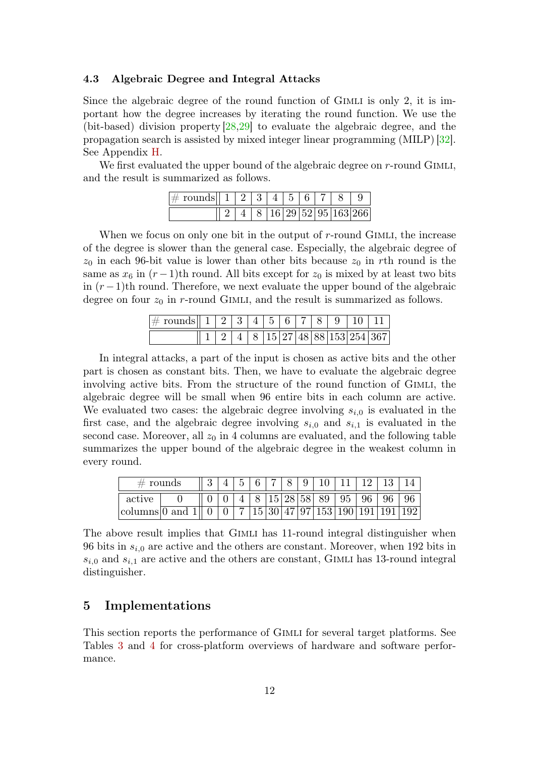#### <span id="page-11-1"></span>4.3 Algebraic Degree and Integral Attacks

Since the algebraic degree of the round function of Gimli is only 2, it is important how the degree increases by iterating the round function. We use the (bit-based) division property  $[28,29]$  $[28,29]$  to evaluate the algebraic degree, and the propagation search is assisted by mixed integer linear programming (MILP) [\[32\]](#page-21-3). See Appendix [H.](#page-34-0)

We first evaluated the upper bound of the algebraic degree on  $r$ -round GIMLI, and the result is summarized as follows.

| $\left \#~\text{rounds}\right \left \left 1\right \left 2\right \left 3\right \left 4\right \left 5\right \left 6\right \left 7\right \left 8\right \left 9\right $ |  |  |  |  |                                             |
|---------------------------------------------------------------------------------------------------------------------------------------------------------------------|--|--|--|--|---------------------------------------------|
|                                                                                                                                                                     |  |  |  |  | $2   4   8   16   29   52   95   163   266$ |

When we focus on only one bit in the output of  $r$ -round GIMLI, the increase of the degree is slower than the general case. Especially, the algebraic degree of  $z_0$  in each 96-bit value is lower than other bits because  $z_0$  in rth round is the same as  $x_6$  in  $(r-1)$ th round. All bits except for  $z_0$  is mixed by at least two bits in  $(r-1)$ th round. Therefore, we next evaluate the upper bound of the algebraic degree on four  $z_0$  in r-round GIMLI, and the result is summarized as follows.

| $\frac{1}{4}$ rounds 1   2   3   4   5   6   7   8   9   10   11 |  |  |  |  |  |                                                                                          |
|------------------------------------------------------------------|--|--|--|--|--|------------------------------------------------------------------------------------------|
|                                                                  |  |  |  |  |  | $1 \mid 2 \mid 4 \mid 8 \mid 15 \mid 27 \mid 48 \mid 88 \mid 153 \mid 254 \mid 367 \mid$ |

In integral attacks, a part of the input is chosen as active bits and the other part is chosen as constant bits. Then, we have to evaluate the algebraic degree involving active bits. From the structure of the round function of Gimli, the algebraic degree will be small when 96 entire bits in each column are active. We evaluated two cases: the algebraic degree involving  $s_{i,0}$  is evaluated in the first case, and the algebraic degree involving  $s_{i,0}$  and  $s_{i,1}$  is evaluated in the second case. Moreover, all  $z_0$  in 4 columns are evaluated, and the following table summarizes the upper bound of the algebraic degree in the weakest column in every round.

|                                | rounds |  |   |    | −   |                | Q     |      |     |    |    |  |
|--------------------------------|--------|--|---|----|-----|----------------|-------|------|-----|----|----|--|
| active                         |        |  |   |    | 151 |                | 28 58 | ' 89 | 95  | 96 | 96 |  |
| $\text{columns} 0 \text{ and}$ |        |  | ↣ | 15 |     | $\overline{A}$ |       |      | .90 |    |    |  |

The above result implies that GIMLI has 11-round integral distinguisher when 96 bits in  $s_{i,0}$  are active and the others are constant. Moreover, when 192 bits in  $s_{i,0}$  and  $s_{i,1}$  are active and the others are constant, GIMLI has 13-round integral distinguisher.

## <span id="page-11-0"></span>5 Implementations

This section reports the performance of Gimli for several target platforms. See Tables [3](#page-15-0) and [4](#page-19-0) for cross-platform overviews of hardware and software performance.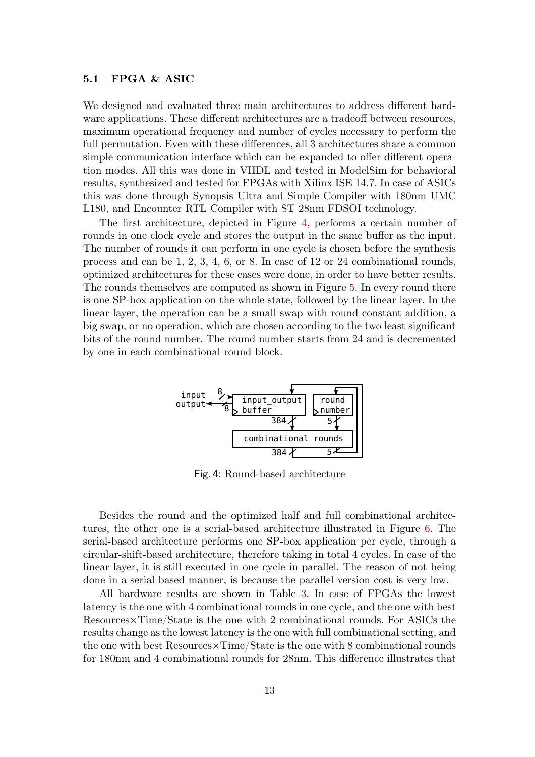### 5.1 FPGA & ASIC

We designed and evaluated three main architectures to address different hardware applications. These different architectures are a tradeoff between resources, maximum operational frequency and number of cycles necessary to perform the full permutation. Even with these differences, all 3 architectures share a common simple communication interface which can be expanded to offer different operation modes. All this was done in VHDL and tested in ModelSim for behavioral results, synthesized and tested for FPGAs with Xilinx ISE 14.7. In case of ASICs this was done through Synopsis Ultra and Simple Compiler with 180nm UMC L180, and Encounter RTL Compiler with ST 28nm FDSOI technology.

The first architecture, depicted in Figure [4,](#page-12-0) performs a certain number of rounds in one clock cycle and stores the output in the same buffer as the input. The number of rounds it can perform in one cycle is chosen before the synthesis process and can be 1, 2, 3, 4, 6, or 8. In case of 12 or 24 combinational rounds, optimized architectures for these cases were done, in order to have better results. The rounds themselves are computed as shown in Figure [5.](#page-13-0) In every round there is one SP-box application on the whole state, followed by the linear layer. In the linear layer, the operation can be a small swap with round constant addition, a big swap, or no operation, which are chosen according to the two least significant bits of the round number. The round number starts from 24 and is decremented by one in each combinational round block.



<span id="page-12-0"></span>Fig. 4: Round-based architecture

Besides the round and the optimized half and full combinational architectures, the other one is a serial-based architecture illustrated in Figure [6.](#page-13-1) The serial-based architecture performs one SP-box application per cycle, through a circular-shift-based architecture, therefore taking in total 4 cycles. In case of the linear layer, it is still executed in one cycle in parallel. The reason of not being done in a serial based manner, is because the parallel version cost is very low.

All hardware results are shown in Table [3.](#page-15-0) In case of FPGAs the lowest latency is the one with 4 combinational rounds in one cycle, and the one with best Resources×Time/State is the one with 2 combinational rounds. For ASICs the results change as the lowest latency is the one with full combinational setting, and the one with best Resources×Time/State is the one with 8 combinational rounds for 180nm and 4 combinational rounds for 28nm. This difference illustrates that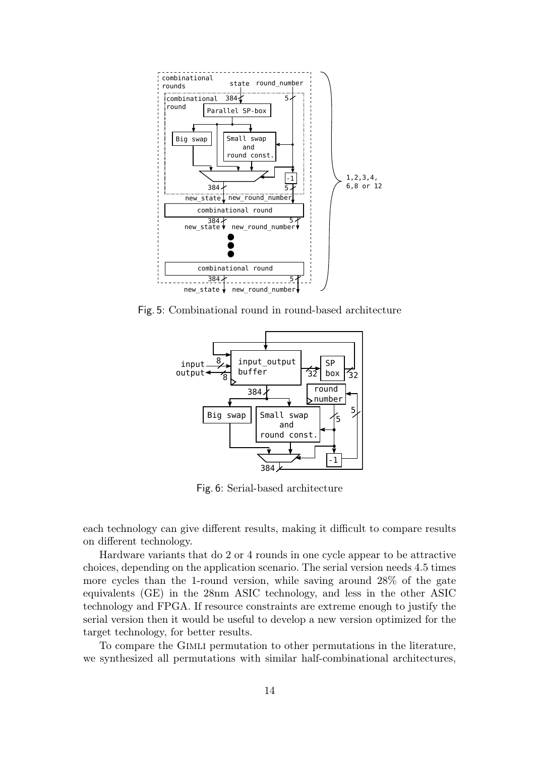

Fig. 5: Combinational round in round-based architecture

<span id="page-13-0"></span>

<span id="page-13-1"></span>Fig. 6: Serial-based architecture

each technology can give different results, making it difficult to compare results on different technology.

Hardware variants that do 2 or 4 rounds in one cycle appear to be attractive choices, depending on the application scenario. The serial version needs 4.5 times more cycles than the 1-round version, while saving around 28% of the gate equivalents (GE) in the 28nm ASIC technology, and less in the other ASIC technology and FPGA. If resource constraints are extreme enough to justify the serial version then it would be useful to develop a new version optimized for the target technology, for better results.

To compare the Gimli permutation to other permutations in the literature, we synthesized all permutations with similar half-combinational architectures,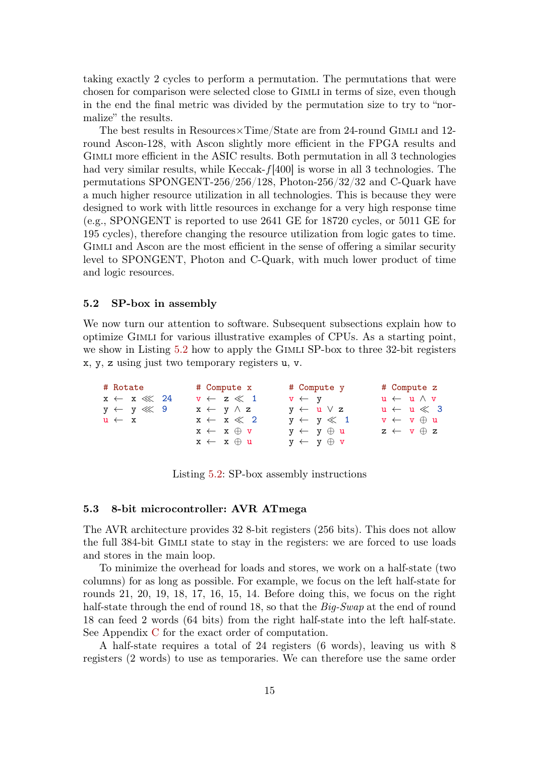taking exactly 2 cycles to perform a permutation. The permutations that were chosen for comparison were selected close to Gimli in terms of size, even though in the end the final metric was divided by the permutation size to try to "normalize" the results.

The best results in Resources $\times$ Time/State are from 24-round GIMLI and 12round Ascon-128, with Ascon slightly more efficient in the FPGA results and Gimli more efficient in the ASIC results. Both permutation in all 3 technologies had very similar results, while Keccak- $f(400)$  is worse in all 3 technologies. The permutations SPONGENT-256/256/128, Photon-256/32/32 and C-Quark have a much higher resource utilization in all technologies. This is because they were designed to work with little resources in exchange for a very high response time (e.g., SPONGENT is reported to use 2641 GE for 18720 cycles, or 5011 GE for 195 cycles), therefore changing the resource utilization from logic gates to time. Gimli and Ascon are the most efficient in the sense of offering a similar security level to SPONGENT, Photon and C-Quark, with much lower product of time and logic resources.

#### 5.2 SP-box in assembly

We now turn our attention to software. Subsequent subsections explain how to optimize Gimli for various illustrative examples of CPUs. As a starting point, we show in Listing [5.2](#page-14-0) how to apply the GIMLI SP-box to three 32-bit registers x, y, z using just two temporary registers u, v.

| # Rotate                | # Compute x                    | # Compute y               | # Compute z               |
|-------------------------|--------------------------------|---------------------------|---------------------------|
| $x \leftarrow x \ll 24$ | $v \leftarrow z \ll 1$         | $v \leftarrow y$          | $u \leftarrow u \wedge v$ |
| $y \leftarrow y \lll 9$ | $x \leftarrow y \land z$       | $y \leftarrow u \vee z$   | $u \leftarrow u \ll 3$    |
| $u \leftarrow x$        | $x \leftarrow x \ll 2$         | $y \leftarrow y \ll 1$    | $v \leftarrow v \oplus u$ |
|                         | $v \oplus x \leftrightarrow x$ | $y \leftarrow y \oplus u$ | $z \leftarrow v \oplus z$ |
|                         | $x \leftarrow x \oplus u$      | $y \leftarrow y \oplus v$ |                           |

<span id="page-14-0"></span>Listing [5.2:](#page-14-0) SP-box assembly instructions

### 5.3 8-bit microcontroller: AVR ATmega

The AVR architecture provides 32 8-bit registers (256 bits). This does not allow the full 384-bit Gimli state to stay in the registers: we are forced to use loads and stores in the main loop.

To minimize the overhead for loads and stores, we work on a half-state (two columns) for as long as possible. For example, we focus on the left half-state for rounds 21, 20, 19, 18, 17, 16, 15, 14. Before doing this, we focus on the right half-state through the end of round 18, so that the Big-Swap at the end of round 18 can feed 2 words (64 bits) from the right half-state into the left half-state. See Appendix [C](#page-24-0) for the exact order of computation.

A half-state requires a total of 24 registers (6 words), leaving us with 8 registers (2 words) to use as temporaries. We can therefore use the same order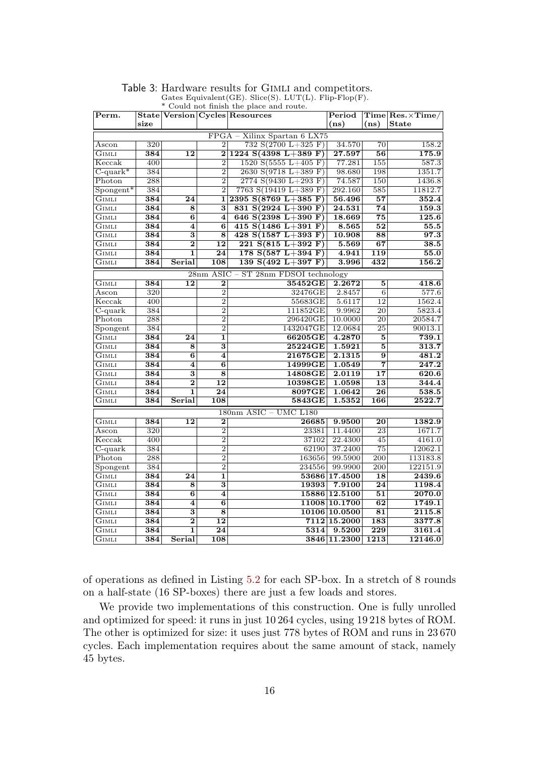| Perm.                              |                  |                                                    |                                    | State Version Cycles Resources                                            | Period        |                         | $\boxed{\mathit{Time} \mathit{Res}.\times \mathit{Time} }$ |
|------------------------------------|------------------|----------------------------------------------------|------------------------------------|---------------------------------------------------------------------------|---------------|-------------------------|------------------------------------------------------------|
|                                    | size             |                                                    |                                    |                                                                           | (ns)          | (ns)                    | <b>State</b>                                               |
|                                    |                  |                                                    |                                    | FPGA - Xilinx Spartan 6 LX75                                              |               |                         |                                                            |
| Ascon                              | 320              |                                                    | $\overline{2}$                     | 732 $S(2700 L+325 F)$                                                     | 34.570        | 70                      | 158.2                                                      |
| Gimli                              | 384              | 12                                                 |                                    | $2 1224 S(4398 L+389 F)$                                                  | 27.597        | 56                      | 175.9                                                      |
| $\rm{Keccak}$                      | 400              |                                                    | 2                                  | 1520 $S(5555 L+405 F)$                                                    | 77.281        | 155                     | 587.3                                                      |
| $\overline{C}$ -quark <sup>*</sup> | 384              |                                                    | $\overline{2}$                     | $2630 S(9718 L+389 F)$                                                    | 98.680        | 198                     | 1351.7                                                     |
| Photon                             | 288              |                                                    | $\overline{2}$                     | 2774 $S(9430 L+293 F)$                                                    | 74.587        | 150                     | 1436.8                                                     |
| $S$ pongent*                       | 384              |                                                    | $\overline{2}$                     | 7763 $S(19419 L+389 F)$                                                   | 292.160       | 585                     | 11812.7                                                    |
| <b>GIMLI</b>                       | 384              | $\overline{24}$                                    |                                    | $1 2395$ S(8769 L+385 F)                                                  | 56.496        | $\overline{57}$         | 352.4                                                      |
| G <sub>IMLI</sub>                  | 384              | 8                                                  | 3                                  | 831 $S(2924 L+390 F)$                                                     | 24.531        | $\overline{74}$         | 159.3                                                      |
| GIMLI                              | 384              | 6                                                  | $\overline{\mathbf{4}}$            | 646 S(2398 L+390 F)                                                       | 18.669        | 75                      | 125.6                                                      |
| Gimli                              | 384              | $\overline{\mathbf{4}}$                            | 6                                  | $\overline{415 \; \mathrm{S} (1486 \; \mathrm{L} {+} 391 \; \mathrm{F})}$ | 8.565         | 52                      | $\bf 55.5$                                                 |
| G <sub>IMLI</sub>                  | 384              | $\overline{\mathbf{3}}$                            | 8                                  | 428 $S(1587 L+393 F)$                                                     | 10.908        | 88                      | 97.3                                                       |
| Gimli                              | 384              | $\overline{2}$                                     | 12                                 | $221 S(815 L+392 F)$                                                      | 5.569         | 67                      | 38.5                                                       |
| Gimli                              | 384              | $\overline{\mathbf{1}}$                            | 24                                 | $178 S(587 L+394 F)$                                                      | 4.941         | 119                     | 55.0                                                       |
| Gімlі                              | 384              | Serial                                             | 108                                | $139\;{\rm S}(492\;{\rm L}+397\;{\rm F})$                                 | 3.996         | 432                     | 156.2                                                      |
|                                    |                  |                                                    |                                    | 28nm ASIC - ST 28nm FDSOI technology                                      |               |                         |                                                            |
| Gimli                              | 384              | $\overline{12}$                                    | $\overline{\mathbf{2}}$            | 35452GE                                                                   | 2.2672        | 5                       | 418.6                                                      |
| Ascon                              | $\overline{320}$ |                                                    | $\overline{2}$                     | 32476GE                                                                   | 2.8457        | $\overline{6}$          | 577.6                                                      |
| Keccak                             | 400              |                                                    | $\overline{2}$                     | 55683GE                                                                   | 5.6117        | 12                      | 1562.4                                                     |
| $C$ -quark                         | $\overline{384}$ |                                                    | $\overline{2}$                     | 111852GE                                                                  | 9.9962        | $\overline{20}$         | 5823.4                                                     |
| Photon                             | 288              |                                                    | $\overline{2}$                     | 296420GE                                                                  | 10.0000       | $\overline{20}$         | 20584.7                                                    |
| Spongent                           | 384              |                                                    | $\overline{2}$                     | 1432047GE                                                                 | 12.0684       | 25                      | 90013.1                                                    |
| GIMLI                              | 384              | 24                                                 | $\mathbf 1$                        | 66205GE                                                                   | 4.2870        | 5                       | 739.1                                                      |
| GIMLI                              | 384              | 8                                                  | $\overline{\mathbf{3}}$            | 25224GE                                                                   | 1.5921        | $\overline{\mathbf{5}}$ | 313.7                                                      |
| $G$ IMLI                           | 384              | 6                                                  | $\overline{\bf 4}$                 | 21675GE                                                                   | 2.1315        | 9                       | 481.2                                                      |
| Gimli                              | 384              | $\overline{\bf 4}$                                 | $\overline{6}$                     | 14999GE                                                                   | 1.0549        | $\overline{\mathbf{7}}$ | 247.2                                                      |
| Gimli                              | 384              | 3                                                  | 8                                  | 14808GE                                                                   | 2.0119        | 17                      | 620.6                                                      |
| $\overline{\rm G}$ imli            | 384              | $\bf{2}$                                           | 12                                 | 10398GE                                                                   | 1.0598        | 13                      | 344.4                                                      |
| Gimli                              | 384              | 1                                                  | $\overline{24}$                    | 8097GE                                                                    | 1.0642        | $\overline{{\bf 26}}$   | 538.5                                                      |
| Gimli                              | 384              | ${\bf \rm Serial}$                                 | 108                                | 5843GE                                                                    | 1.5352        | 166                     | $\overline{2522.7}$                                        |
|                                    |                  |                                                    |                                    | 180nm ASIC - UMC L180                                                     |               |                         |                                                            |
| Gimli                              | 384              | 12                                                 | $\bf{2}$                           | 26685                                                                     | 9.9500        | 20                      | 1382.9                                                     |
| Ascon                              | $\overline{320}$ |                                                    | $\overline{2}$                     | 23381                                                                     | 11.4400       | 23                      | 1671.7                                                     |
| Keccak                             | 400              |                                                    | $\overline{2}$                     | 37102                                                                     | 22.4300       | 45                      | 4161.0                                                     |
| C-quark                            | 384              |                                                    | $\overline{2}$                     | 62190                                                                     | 37.2400       | $\overline{75}$         | 12062.1                                                    |
| Photon                             | 288              |                                                    | $\overline{2}$                     | 163656                                                                    | 99.5900       | 200                     | 113183.8                                                   |
| Spongent                           | 384              |                                                    | $\overline{2}$                     | 234556                                                                    | 99.9900       | $\overline{200}$        | 122151.9                                                   |
| Gimli                              | 384              | 24                                                 | $\mathbf{1}$                       |                                                                           | 53686 17.4500 | 18                      | 2439.6                                                     |
| $G$ IMLI                           | 384              | 8                                                  | $\overline{\mathbf{3}}$            | 19393                                                                     | 7.9100        | $\overline{24}$         | 1198.4                                                     |
| Gimli                              | 384              | 6                                                  | $\overline{\mathbf{4}}$            |                                                                           | 15886 12.5100 | 51                      | 2070.0                                                     |
| Gimli                              | 384              | 4                                                  | 6                                  |                                                                           | 11008 10.1700 | 62                      | 1749.1                                                     |
| Gimli                              | 384              | 3                                                  | 8                                  |                                                                           | 10106 10.0500 | 81                      | 2115.8                                                     |
| Gimli                              | 384              | $\overline{\mathbf{2}}$<br>$\overline{\mathbf{1}}$ | $\overline{12}$<br>$\overline{24}$ |                                                                           | 7112 15.2000  | 183                     | 3377.8                                                     |
| Gimli                              | 384              |                                                    |                                    | 5314                                                                      | 9.5200        | $\overline{229}$        | 3161.4                                                     |
| Gimli                              | 384              | ${\bf \rm Serial}$                                 | 108                                |                                                                           | 3846 11.2300  | 1213                    | 12146.0                                                    |

<span id="page-15-0"></span>Table 3: Hardware results for Gimli and competitors. Gates Equivalent  $(GE)$ . Slice  $(S)$ . LUT $(L)$ . Flip-Flop $(F)$ . \* Could not finish the place and route.

of operations as defined in Listing [5.2](#page-14-0) for each SP-box. In a stretch of 8 rounds on a half-state (16 SP-boxes) there are just a few loads and stores.

We provide two implementations of this construction. One is fully unrolled and optimized for speed: it runs in just 10 264 cycles, using 19 218 bytes of ROM. The other is optimized for size: it uses just 778 bytes of ROM and runs in 23 670 cycles. Each implementation requires about the same amount of stack, namely 45 bytes.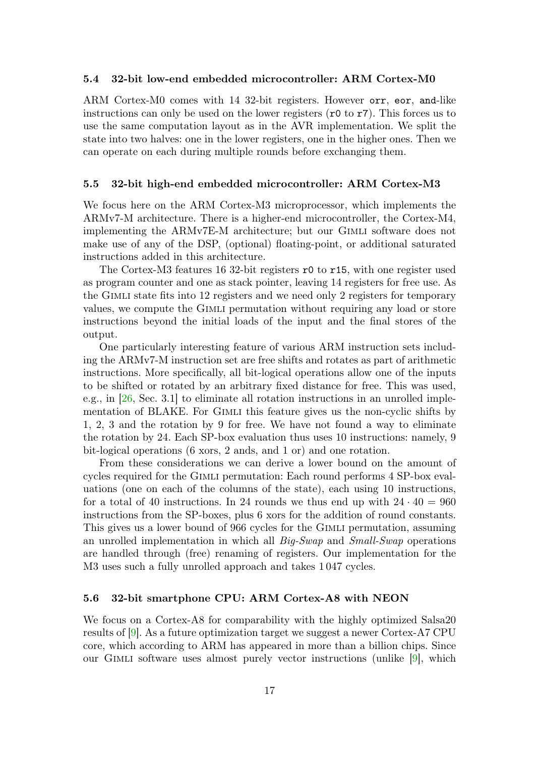#### <span id="page-16-0"></span>5.4 32-bit low-end embedded microcontroller: ARM Cortex-M0

ARM Cortex-M0 comes with 14 32-bit registers. However orr, eor, and-like instructions can only be used on the lower registers  $(rd \text{ to } r7)$ . This forces us to use the same computation layout as in the AVR implementation. We split the state into two halves: one in the lower registers, one in the higher ones. Then we can operate on each during multiple rounds before exchanging them.

#### 5.5 32-bit high-end embedded microcontroller: ARM Cortex-M3

We focus here on the ARM Cortex-M3 microprocessor, which implements the ARMv7-M architecture. There is a higher-end microcontroller, the Cortex-M4, implementing the ARMv7E-M architecture; but our Gimli software does not make use of any of the DSP, (optional) floating-point, or additional saturated instructions added in this architecture.

The Cortex-M3 features 16 32-bit registers r0 to r15, with one register used as program counter and one as stack pointer, leaving 14 registers for free use. As the Gimli state fits into 12 registers and we need only 2 registers for temporary values, we compute the Gimli permutation without requiring any load or store instructions beyond the initial loads of the input and the final stores of the output.

One particularly interesting feature of various ARM instruction sets including the ARMv7-M instruction set are free shifts and rotates as part of arithmetic instructions. More specifically, all bit-logical operations allow one of the inputs to be shifted or rotated by an arbitrary fixed distance for free. This was used, e.g., in [\[26,](#page-21-4) Sec. 3.1] to eliminate all rotation instructions in an unrolled implementation of BLAKE. For GIMLI this feature gives us the non-cyclic shifts by 1, 2, 3 and the rotation by 9 for free. We have not found a way to eliminate the rotation by 24. Each SP-box evaluation thus uses 10 instructions: namely, 9 bit-logical operations (6 xors, 2 ands, and 1 or) and one rotation.

From these considerations we can derive a lower bound on the amount of cycles required for the Gimli permutation: Each round performs 4 SP-box evaluations (one on each of the columns of the state), each using 10 instructions, for a total of 40 instructions. In 24 rounds we thus end up with  $24 \cdot 40 = 960$ instructions from the SP-boxes, plus 6 xors for the addition of round constants. This gives us a lower bound of 966 cycles for the Gimli permutation, assuming an unrolled implementation in which all Big-Swap and Small-Swap operations are handled through (free) renaming of registers. Our implementation for the M3 uses such a fully unrolled approach and takes  $1047$  cycles.

### 5.6 32-bit smartphone CPU: ARM Cortex-A8 with NEON

We focus on a Cortex-A8 for comparability with the highly optimized Salsa20 results of [\[9\]](#page-18-2). As a future optimization target we suggest a newer Cortex-A7 CPU core, which according to ARM has appeared in more than a billion chips. Since our Gimli software uses almost purely vector instructions (unlike [\[9\]](#page-18-2), which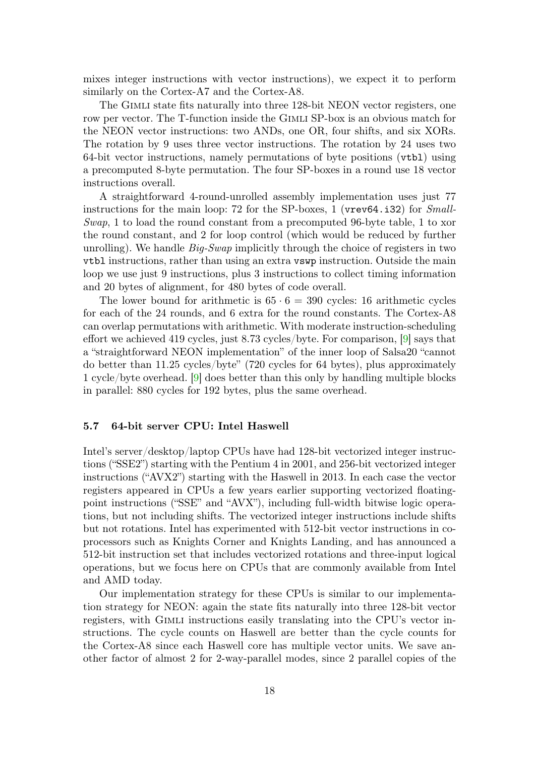<span id="page-17-0"></span>mixes integer instructions with vector instructions), we expect it to perform similarly on the Cortex-A7 and the Cortex-A8.

The Gimli state fits naturally into three 128-bit NEON vector registers, one row per vector. The T-function inside the GIMLI SP-box is an obvious match for the NEON vector instructions: two ANDs, one OR, four shifts, and six XORs. The rotation by 9 uses three vector instructions. The rotation by 24 uses two 64-bit vector instructions, namely permutations of byte positions (vtbl) using a precomputed 8-byte permutation. The four SP-boxes in a round use 18 vector instructions overall.

A straightforward 4-round-unrolled assembly implementation uses just 77 instructions for the main loop: 72 for the SP-boxes, 1 (vrev64.i32) for Small-Swap, 1 to load the round constant from a precomputed 96-byte table, 1 to xor the round constant, and 2 for loop control (which would be reduced by further unrolling). We handle *Big-Swap* implicitly through the choice of registers in two vtbl instructions, rather than using an extra vswp instruction. Outside the main loop we use just 9 instructions, plus 3 instructions to collect timing information and 20 bytes of alignment, for 480 bytes of code overall.

The lower bound for arithmetic is  $65 \cdot 6 = 390$  cycles: 16 arithmetic cycles for each of the 24 rounds, and 6 extra for the round constants. The Cortex-A8 can overlap permutations with arithmetic. With moderate instruction-scheduling effort we achieved 419 cycles, just 8.73 cycles/byte. For comparison, [\[9\]](#page-18-2) says that a "straightforward NEON implementation" of the inner loop of Salsa20 "cannot do better than 11.25 cycles/byte" (720 cycles for 64 bytes), plus approximately 1 cycle/byte overhead. [\[9\]](#page-18-2) does better than this only by handling multiple blocks in parallel: 880 cycles for 192 bytes, plus the same overhead.

#### 5.7 64-bit server CPU: Intel Haswell

Intel's server/desktop/laptop CPUs have had 128-bit vectorized integer instructions ("SSE2") starting with the Pentium 4 in 2001, and 256-bit vectorized integer instructions ("AVX2") starting with the Haswell in 2013. In each case the vector registers appeared in CPUs a few years earlier supporting vectorized floatingpoint instructions ("SSE" and "AVX"), including full-width bitwise logic operations, but not including shifts. The vectorized integer instructions include shifts but not rotations. Intel has experimented with 512-bit vector instructions in coprocessors such as Knights Corner and Knights Landing, and has announced a 512-bit instruction set that includes vectorized rotations and three-input logical operations, but we focus here on CPUs that are commonly available from Intel and AMD today.

Our implementation strategy for these CPUs is similar to our implementation strategy for NEON: again the state fits naturally into three 128-bit vector registers, with GIMLI instructions easily translating into the CPU's vector instructions. The cycle counts on Haswell are better than the cycle counts for the Cortex-A8 since each Haswell core has multiple vector units. We save another factor of almost 2 for 2-way-parallel modes, since 2 parallel copies of the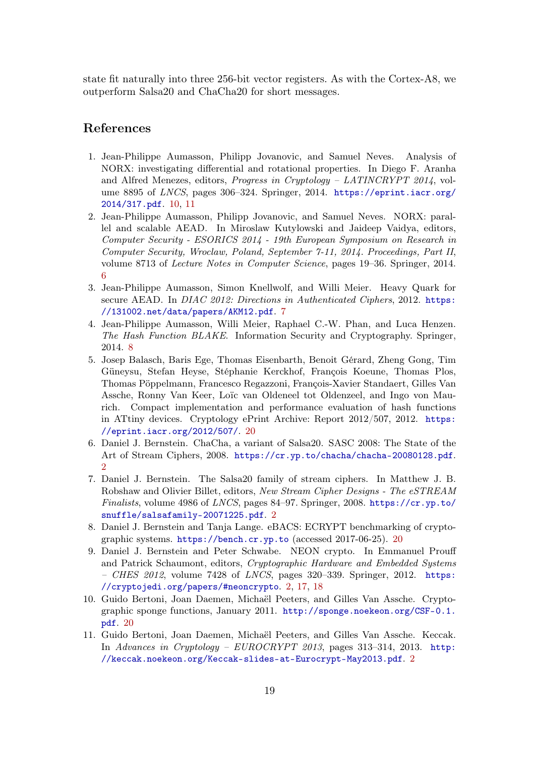state fit naturally into three 256-bit vector registers. As with the Cortex-A8, we outperform Salsa20 and ChaCha20 for short messages.

## References

- <span id="page-18-7"></span>1. Jean-Philippe Aumasson, Philipp Jovanovic, and Samuel Neves. Analysis of NORX: investigating differential and rotational properties. In Diego F. Aranha and Alfred Menezes, editors, Progress in Cryptology – LATINCRYPT 2014, volume 8895 of LNCS, pages 306–324. Springer, 2014. [https://eprint.iacr.org/](https://eprint.iacr.org/2014/317.pdf) [2014/317.pdf](https://eprint.iacr.org/2014/317.pdf). [10,](#page-9-0) [11](#page-10-2)
- <span id="page-18-4"></span>2. Jean-Philippe Aumasson, Philipp Jovanovic, and Samuel Neves. NORX: parallel and scalable AEAD. In Miroslaw Kutylowski and Jaideep Vaidya, editors, Computer Security - ESORICS 2014 - 19th European Symposium on Research in Computer Security, Wroclaw, Poland, September 7-11, 2014. Proceedings, Part II, volume 8713 of Lecture Notes in Computer Science, pages 19–36. Springer, 2014. [6](#page-5-0)
- <span id="page-18-5"></span>3. Jean-Philippe Aumasson, Simon Knellwolf, and Willi Meier. Heavy Quark for secure AEAD. In *DIAC 2012: Directions in Authenticated Ciphers*, 2012. [https:](https://131002.net/data/papers/AKM12.pdf) [//131002.net/data/papers/AKM12.pdf](https://131002.net/data/papers/AKM12.pdf). [7](#page-6-0)
- <span id="page-18-6"></span>4. Jean-Philippe Aumasson, Willi Meier, Raphael C.-W. Phan, and Luca Henzen. The Hash Function BLAKE. Information Security and Cryptography. Springer, 2014. [8](#page-7-0)
- <span id="page-18-8"></span>5. Josep Balasch, Baris Ege, Thomas Eisenbarth, Benoit Gérard, Zheng Gong, Tim Güneysu, Stefan Heyse, Stéphanie Kerckhof, François Koeune, Thomas Plos, Thomas Pöppelmann, Francesco Regazzoni, François-Xavier Standaert, Gilles Van Assche, Ronny Van Keer, Loïc van Oldeneel tot Oldenzeel, and Ingo von Maurich. Compact implementation and performance evaluation of hash functions in ATtiny devices. Cryptology ePrint Archive: Report 2012/507, 2012. [https:](https://eprint.iacr.org/2012/507/) [//eprint.iacr.org/2012/507/](https://eprint.iacr.org/2012/507/). [20](#page-19-1)
- <span id="page-18-3"></span>6. Daniel J. Bernstein. ChaCha, a variant of Salsa20. SASC 2008: The State of the Art of Stream Ciphers, 2008. <https://cr.yp.to/chacha/chacha-20080128.pdf>. [2](#page-1-1)
- <span id="page-18-1"></span>7. Daniel J. Bernstein. The Salsa20 family of stream ciphers. In Matthew J. B. Robshaw and Olivier Billet, editors, New Stream Cipher Designs - The eSTREAM Finalists, volume 4986 of LNCS, pages 84–97. Springer, 2008. [https://cr.yp.to/](https://cr.yp.to/snuffle/salsafamily-20071225.pdf) [snuffle/salsafamily-20071225.pdf](https://cr.yp.to/snuffle/salsafamily-20071225.pdf). [2](#page-1-1)
- <span id="page-18-9"></span>8. Daniel J. Bernstein and Tanja Lange. eBACS: ECRYPT benchmarking of cryptographic systems. <https://bench.cr.yp.to> (accessed 2017-06-25). [20](#page-19-1)
- <span id="page-18-2"></span>9. Daniel J. Bernstein and Peter Schwabe. NEON crypto. In Emmanuel Prouff and Patrick Schaumont, editors, Cryptographic Hardware and Embedded Systems  $-$  CHES 2012, volume 7428 of LNCS, pages 320–339. Springer, 2012. [https:](https://cryptojedi.org/papers/#neoncrypto) [//cryptojedi.org/papers/#neoncrypto](https://cryptojedi.org/papers/#neoncrypto). [2,](#page-1-1) [17,](#page-16-0) [18](#page-17-0)
- <span id="page-18-10"></span>10. Guido Bertoni, Joan Daemen, Michaël Peeters, and Gilles Van Assche. Cryptographic sponge functions, January 2011. [http://sponge.noekeon.org/CSF-0.1.](http://sponge.noekeon.org/CSF-0.1.pdf) [pdf](http://sponge.noekeon.org/CSF-0.1.pdf). [20](#page-19-1)
- <span id="page-18-0"></span>11. Guido Bertoni, Joan Daemen, Michaël Peeters, and Gilles Van Assche. Keccak. In Advances in Cryptology – EUROCRYPT 2013, pages 313–314, 2013. [http:](http://keccak.noekeon.org/Keccak-slides-at-Eurocrypt-May2013.pdf) [//keccak.noekeon.org/Keccak-slides-at-Eurocrypt-May2013.pdf](http://keccak.noekeon.org/Keccak-slides-at-Eurocrypt-May2013.pdf). [2](#page-1-1)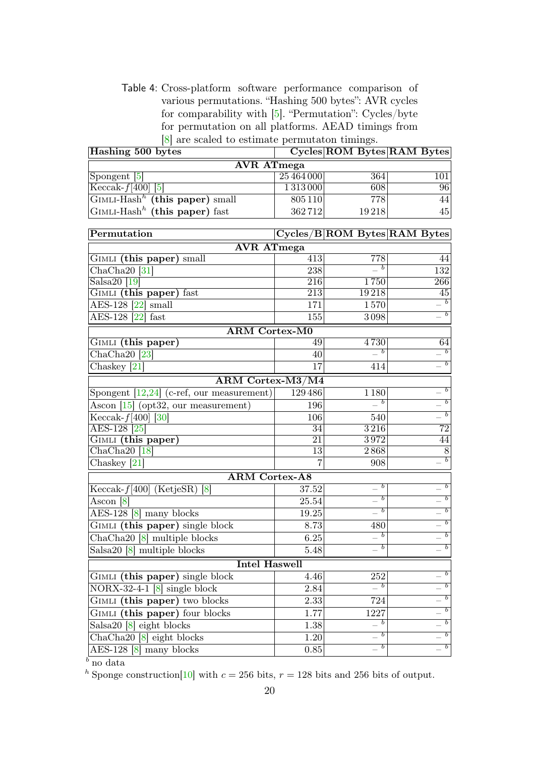<span id="page-19-1"></span><span id="page-19-0"></span>Table 4: Cross-platform software performance comparison of various permutations. "Hashing 500 bytes": AVR cycles for comparability with [\[5\]](#page-18-8). "Permutation": Cycles/byte for permutation on all platforms. AEAD timings from [\[8\]](#page-18-9) are scaled to estimate permutaton timings.

| Hashing 500 bytes                                     |            |       | Cycles ROM Bytes RAM Bytes |
|-------------------------------------------------------|------------|-------|----------------------------|
| <b>AVR</b> ATmega                                     |            |       |                            |
| Spongent [5]                                          | 25 464 000 | 364   | 101                        |
| $Keccak-f[400]$ [5]                                   | 1313000    | 608   | 96                         |
| $\sqrt{\text{GIMLI-Hash}^h}$ (this paper) small       | 805 110    | 778   | 44                         |
| $ G_{\text{IMLI}}-H_{\text{ash}}^h$ (this paper) fast | 362712     | 19218 | 45                         |

| Permutation                                     |                  |                              | Cycles/B ROM Bytes RAM Bytes     |
|-------------------------------------------------|------------------|------------------------------|----------------------------------|
| <b>AVR</b> ATmega                               |                  |                              |                                  |
| GIMLI (this paper) small                        | $\overline{413}$ | 778                          | 44                               |
| $ChaCha20$ [31]                                 | 238              | $\boxed{b}$                  | 132                              |
| $Salsa20$ <sup>[19]</sup>                       | $\overline{216}$ | 1750                         | $\overline{266}$                 |
| GIMLI (this paper) fast                         | $\overline{213}$ | 19218                        | $\overline{45}$                  |
| AES-128 [22] small                              | 171              | 1570                         | $\overline{\phantom{a}}^b$       |
| AES-128 [22] fast                               | 155              | $3\,098$                     | $\overline{b}$<br>$\equiv$       |
| <b>ARM</b> Cortex-M0                            |                  |                              |                                  |
| GIMLI (this paper)                              | 49               | 4730                         | 64                               |
| $ChaCha20$ [23]                                 | 40               | $\boxed{b}$                  | $\overline{b}$                   |
| Chaskey [21]                                    | $\overline{17}$  | 414                          | $\overline{b}$                   |
| ARM Cortex-M3/M4                                |                  |                              |                                  |
| Spongent $[12,24]$ (c-ref, our measurement)     | 129486           | 1 1 8 0                      | $\overline{b}$                   |
| Ascon $[15]$ (opt32, our measurement)           | 196              | $\overline{b}$               | $\boldsymbol{b}$                 |
| $Keccak-f[400] [30]$                            | 106              | 540                          | $\overline{b}$                   |
| AES-128 <sup>[25]</sup>                         | $\overline{34}$  | $\overline{3\,216}$          | $\overline{72}$                  |
| GIMLI (this paper)                              | 21               | 3972                         | 44                               |
| $ChaCha20$ <sup>[18]</sup>                      | $\overline{13}$  | 2868                         | $\overline{8}$                   |
| Chaskey [21]                                    |                  | 908                          | $\overline{b}$                   |
| <b>ARM</b> Cortex-A8                            |                  |                              |                                  |
| Keccak- $f[400]$ (KetjeSR) [8]                  | $37.52\,$        | b                            | b                                |
| Ascon $[8]$                                     | 25.54            | $\boldsymbol{b}$<br>$\equiv$ | $\overline{b}$                   |
| AES-128 $[8]$ many blocks                       | 19.25            | $\overline{b}$               |                                  |
| GIMLI (this paper) single block                 | 8.73             | 480                          | $\overline{b}$                   |
| ChaCha <sub>20</sub> [8] multiple blocks        | 6.25             | $\overline{b}$               | $\overline{b}$                   |
| $\overline{\text{Salsa20}}$ [8] multiple blocks | 5.48             | $\boxed{b}$                  | $\overline{b}$<br>$\overline{a}$ |
| <b>Intel Haswell</b>                            |                  |                              |                                  |
| GIMLI (this paper) single block                 | 4.46             | 252                          | $\boldsymbol{b}$                 |
| NORX-32-4-1 $[8]$ single block                  | 2.84             | $\boxed{b}$                  |                                  |
| GIMLI (this paper) two blocks                   | $2.33\,$         | 724                          | Ъ                                |
| GIMLI (this paper) four blocks                  | 1.77             | 1227                         |                                  |
| Salsa20 $[8]$ eight blocks                      | 1.38             | $\boldsymbol{b}$             |                                  |
| ChaCha20 <sup>[8]</sup> eight blocks            | $1.20\,$         | $\boldsymbol{b}$             | $\boldsymbol{b}$                 |
| $\overline{\text{AES-128}}$ [8] many blocks     | 0.85             | $\overline{b}$               | $\overline{b}$                   |

b no data

<sup>h</sup> Sponge construction<sup>[\[10\]](#page-18-10)</sup> with  $c = 256$  bits,  $r = 128$  bits and 256 bits of output.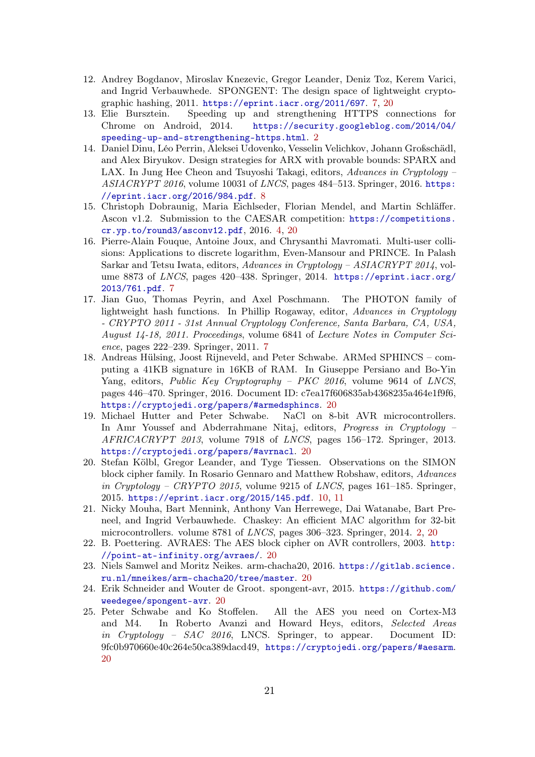- <span id="page-20-4"></span>12. Andrey Bogdanov, Miroslav Knezevic, Gregor Leander, Deniz Toz, Kerem Varici, and Ingrid Verbauwhede. SPONGENT: The design space of lightweight cryptographic hashing, 2011. <https://eprint.iacr.org/2011/697>. [7,](#page-6-0) [20](#page-19-1)
- <span id="page-20-1"></span>13. Elie Bursztein. Speeding up and strengthening HTTPS connections for Chrome on Android, 2014. [https://security.googleblog.com/2014/04/](https://security.googleblog.com/2014/04/speeding-up-and-strengthening-https.html) [speeding-up-and-strengthening-https.html](https://security.googleblog.com/2014/04/speeding-up-and-strengthening-https.html). [2](#page-1-1)
- <span id="page-20-6"></span>14. Daniel Dinu, Léo Perrin, Aleksei Udovenko, Vesselin Velichkov, Johann Großschädl, and Alex Biryukov. Design strategies for ARX with provable bounds: SPARX and LAX. In Jung Hee Cheon and Tsuyoshi Takagi, editors, Advances in Cryptology – ASIACRYPT 2016, volume 10031 of LNCS, pages 484–513. Springer, 2016. [https:](https://eprint.iacr.org/2016/984.pdf) [//eprint.iacr.org/2016/984.pdf](https://eprint.iacr.org/2016/984.pdf). [8](#page-7-0)
- <span id="page-20-2"></span>15. Christoph Dobraunig, Maria Eichlseder, Florian Mendel, and Martin Schläffer. Ascon v1.2. Submission to the CAESAR competition: [https://competitions.](https://competitions.cr.yp.to/round3/asconv12.pdf) [cr.yp.to/round3/asconv12.pdf](https://competitions.cr.yp.to/round3/asconv12.pdf), 2016. [4,](#page-3-3) [20](#page-19-1)
- <span id="page-20-3"></span>16. Pierre-Alain Fouque, Antoine Joux, and Chrysanthi Mavromati. Multi-user collisions: Applications to discrete logarithm, Even-Mansour and PRINCE. In Palash Sarkar and Tetsu Iwata, editors, Advances in Cryptology – ASIACRYPT 2014, volume 8873 of LNCS, pages 420–438. Springer, 2014. [https://eprint.iacr.org/](https://eprint.iacr.org/2013/761.pdf) [2013/761.pdf](https://eprint.iacr.org/2013/761.pdf). [7](#page-6-0)
- <span id="page-20-5"></span>17. Jian Guo, Thomas Peyrin, and Axel Poschmann. The PHOTON family of lightweight hash functions. In Phillip Rogaway, editor, Advances in Cryptology - CRYPTO 2011 - 31st Annual Cryptology Conference, Santa Barbara, CA, USA, August 14-18, 2011. Proceedings, volume 6841 of Lecture Notes in Computer Science, pages 222–239. Springer, 2011. [7](#page-6-0)
- <span id="page-20-13"></span>18. Andreas Hülsing, Joost Rijneveld, and Peter Schwabe. ARMed SPHINCS – computing a 41KB signature in 16KB of RAM. In Giuseppe Persiano and Bo-Yin Yang, editors, Public Key Cryptography – PKC 2016, volume 9614 of LNCS, pages 446–470. Springer, 2016. Document ID: c7ea17f606835ab4368235a464e1f9f6, <https://cryptojedi.org/papers/#armedsphincs>. [20](#page-19-1)
- <span id="page-20-8"></span>19. Michael Hutter and Peter Schwabe. NaCl on 8-bit AVR microcontrollers. In Amr Youssef and Abderrahmane Nitaj, editors, Progress in Cryptology – AFRICACRYPT 2013, volume 7918 of LNCS, pages 156–172. Springer, 2013. <https://cryptojedi.org/papers/#avrnacl>. [20](#page-19-1)
- <span id="page-20-7"></span>20. Stefan Kölbl, Gregor Leander, and Tyge Tiessen. Observations on the SIMON block cipher family. In Rosario Gennaro and Matthew Robshaw, editors, Advances in Cryptology – CRYPTO 2015, volume 9215 of LNCS, pages 161–185. Springer, 2015. <https://eprint.iacr.org/2015/145.pdf>. [10,](#page-9-0) [11](#page-10-2)
- <span id="page-20-0"></span>21. Nicky Mouha, Bart Mennink, Anthony Van Herrewege, Dai Watanabe, Bart Preneel, and Ingrid Verbauwhede. Chaskey: An efficient MAC algorithm for 32-bit microcontrollers. volume 8781 of LNCS, pages 306–323. Springer, 2014. [2,](#page-1-1) [20](#page-19-1)
- <span id="page-20-9"></span>22. B. Poettering. AVRAES: The AES block cipher on AVR controllers, 2003. [http:](http://point-at-infinity.org/avraes/) [//point-at-infinity.org/avraes/](http://point-at-infinity.org/avraes/). [20](#page-19-1)
- <span id="page-20-10"></span>23. Niels Samwel and Moritz Neikes. arm-chacha20, 2016. [https://gitlab.science.](https://gitlab.science.ru.nl/mneikes/arm-chacha20/tree/master) [ru.nl/mneikes/arm-chacha20/tree/master](https://gitlab.science.ru.nl/mneikes/arm-chacha20/tree/master). [20](#page-19-1)
- <span id="page-20-11"></span>24. Erik Schneider and Wouter de Groot. spongent-avr, 2015. [https://github.com/](https://github.com/weedegee/spongent-avr) [weedegee/spongent-avr](https://github.com/weedegee/spongent-avr). [20](#page-19-1)
- <span id="page-20-12"></span>25. Peter Schwabe and Ko Stoffelen. All the AES you need on Cortex-M3 and M4. In Roberto Avanzi and Howard Heys, editors, Selected Areas in Cryptology –  $SAC$  2016, LNCS. Springer, to appear. Document ID: 9fc0b970660e40c264e50ca389dacd49, <https://cryptojedi.org/papers/#aesarm>. [20](#page-19-1)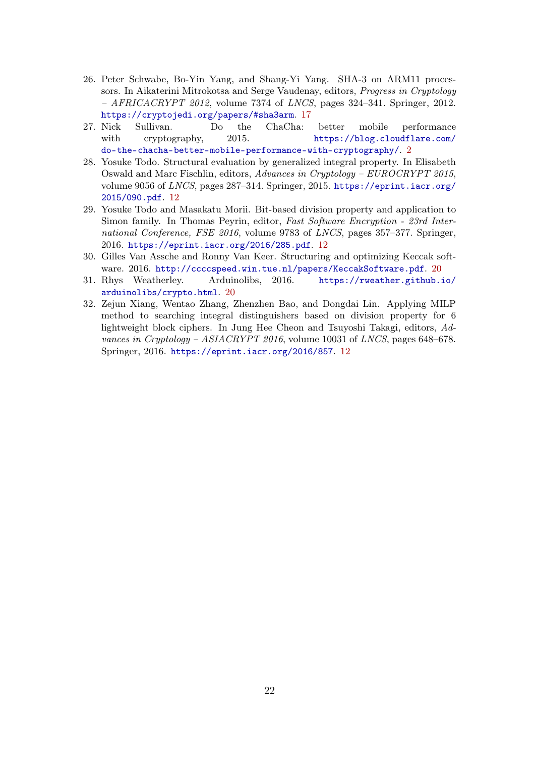- <span id="page-21-4"></span>26. Peter Schwabe, Bo-Yin Yang, and Shang-Yi Yang. SHA-3 on ARM11 processors. In Aikaterini Mitrokotsa and Serge Vaudenay, editors, Progress in Cryptology  $-$  AFRICACRYPT 2012, volume 7374 of LNCS, pages 324–341. Springer, 2012. <https://cryptojedi.org/papers/#sha3arm>. [17](#page-16-0)
- <span id="page-21-0"></span>27. Nick Sullivan. Do the ChaCha: better mobile performance with cryptography, 2015. [https://blog.cloudflare.com/](https://blog.cloudflare.com/do-the-chacha-better-mobile-performance-with-cryptography/) [do-the-chacha-better-mobile-performance-with-cryptography/](https://blog.cloudflare.com/do-the-chacha-better-mobile-performance-with-cryptography/). [2](#page-1-1)
- <span id="page-21-1"></span>28. Yosuke Todo. Structural evaluation by generalized integral property. In Elisabeth Oswald and Marc Fischlin, editors, Advances in Cryptology – EUROCRYPT 2015, volume 9056 of LNCS, pages 287–314. Springer, 2015. [https://eprint.iacr.org/](https://eprint.iacr.org/2015/090.pdf) [2015/090.pdf](https://eprint.iacr.org/2015/090.pdf). [12](#page-11-1)
- <span id="page-21-2"></span>29. Yosuke Todo and Masakatu Morii. Bit-based division property and application to Simon family. In Thomas Peyrin, editor, Fast Software Encryption - 23rd International Conference, FSE 2016, volume 9783 of LNCS, pages 357–377. Springer, 2016. <https://eprint.iacr.org/2016/285.pdf>. [12](#page-11-1)
- <span id="page-21-6"></span>30. Gilles Van Assche and Ronny Van Keer. Structuring and optimizing Keccak software. 2016. <http://ccccspeed.win.tue.nl/papers/KeccakSoftware.pdf>. [20](#page-19-1)
- <span id="page-21-5"></span>31. Rhys Weatherley. Arduinolibs, 2016. [https://rweather.github.io/](https://rweather.github.io/arduinolibs/crypto.html) [arduinolibs/crypto.html](https://rweather.github.io/arduinolibs/crypto.html). [20](#page-19-1)
- <span id="page-21-3"></span>32. Zejun Xiang, Wentao Zhang, Zhenzhen Bao, and Dongdai Lin. Applying MILP method to searching integral distinguishers based on division property for 6 lightweight block ciphers. In Jung Hee Cheon and Tsuyoshi Takagi, editors, Advances in Cryptology –  $ASIACRYPT$  2016, volume 10031 of LNCS, pages 648–678. Springer, 2016. <https://eprint.iacr.org/2016/857>. [12](#page-11-1)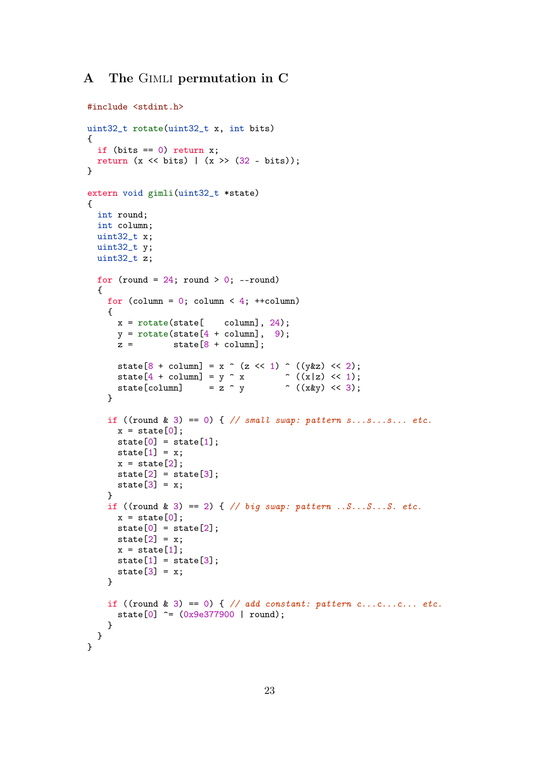## <span id="page-22-0"></span>A The Gimli permutation in C

```
#include <stdint.h>
uint32_t rotate(uint32_t x, int bits)
{
 if (bits == 0) return x;
  return (x \ll bits) | (x \gg (32 - bits));
}
extern void gimli(uint32_t *state)
{
  int round;
  int column;
  uint32_t x;
  uint32_t y;
  uint32_t z;
  for (round = 24; round > 0; --round)
  {
    for (column = 0; column < 4; ++column)
    {
      x = \text{rotate}(\text{state}[\text{column}], 24);y = \text{rotate}(\text{state}[4 + \text{column}], 9);z = state [8 + \text{column}];state[8 + column] = x ^ (z << 1) ^ ((y&z) << 2);<br>state[4 + column] = y ^ x 		 ((x|z) << 1);
      state[4 + column] = y \uparrow x<br>state[column] = z \uparrow ystate[column] = z \hat{y} ((x&y) << 3);
    }
    if ((round & 3) == 0) \frac{1}{1} // small swap: pattern s...s...s... etc.
      x = state[0];state[0] = state[1];
      state[1] = x;x = state[2];
      state[2] = state[3];state[3] = x;}
    if ((round & 3) == 2) \frac{1}{1} // big swap: pattern ...S...S...S. etc.
      x = state[0];
      state[0] = state[2];state[2] = x;x = state[1];state[1] = state[3];
      state[3] = x;}
    if ((round & 3) == 0) { // add constant: pattern c...c...c... etc.
      state[0] \sim (0x9e377900 | round);
    }
  }
}
```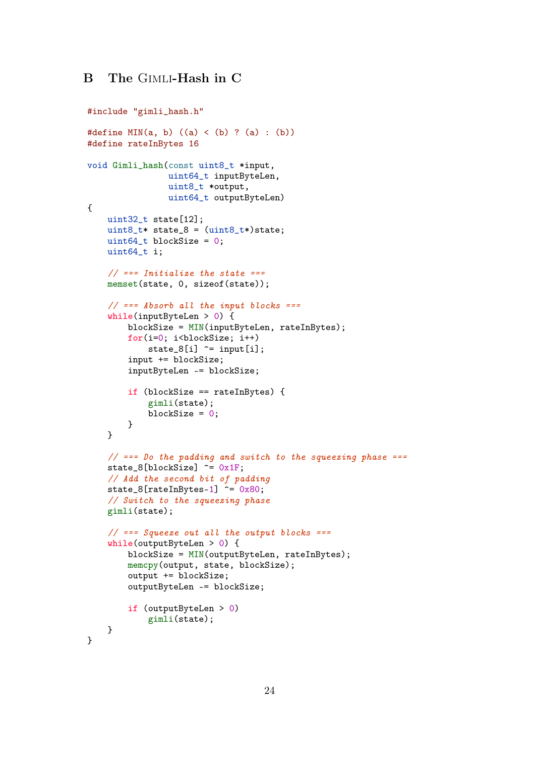## B The Gimli-Hash in C

```
#include "gimli_hash.h"
#define MIN(a, b) ((a) < (b) ? (a) : (b))#define rateInBytes 16
void Gimli_hash(const uint8_t *input,
                uint64_t inputByteLen,
                uint8_t *output,
                uint64_t outputByteLen)
{
   uint32_t state[12];
   uint8_t * state_8 = (uint8_t * )state;uint64_t blockSize = 0;
    uint64_t i;
    // == Initialize the state ==memset(state, 0, sizeof(state));
    // == About blocks ==while(inputByteLen > 0) {
        blockSize = MIN(inputByteLen, rateInBytes);
        for(i=0; i<br/>blockSize; i++)
            state_8[i] ^= input[i];
        input += blockSize;
        inputByteLen -= blockSize;
        if (blockSize == rateInBytes) {
            gimli(state);
            blockSize = 0;}
    }
    // == Do the padding and switch to the squeezing phase ==state_8[blockSize] \hat{ } = 0x1F;
    // Add the second bit of padding
    state_8[rateInBytes-1] ^= 0x80;
    // Switch to the squeezing phase
    gimli(state);
    // == Square out all the output blocks ==while(outputByteLen > 0) {
        blockSize = MIN(outputByteLen, rateInBytes);
        memcpy(output, state, blockSize);
        output += blockSize;
        outputByteLen -= blockSize;
        if (outputByteLen > 0)
            gimli(state);
    }
}
```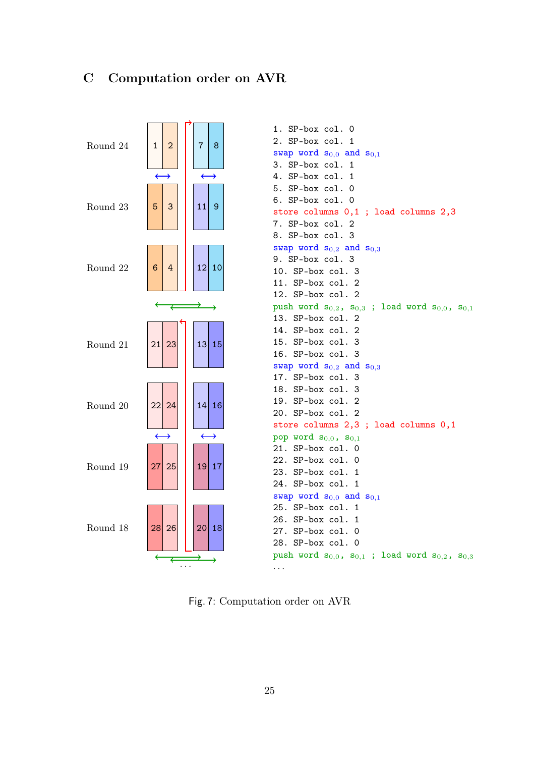## <span id="page-24-0"></span>C Computation order on AVR



Fig. 7: Computation order on AVR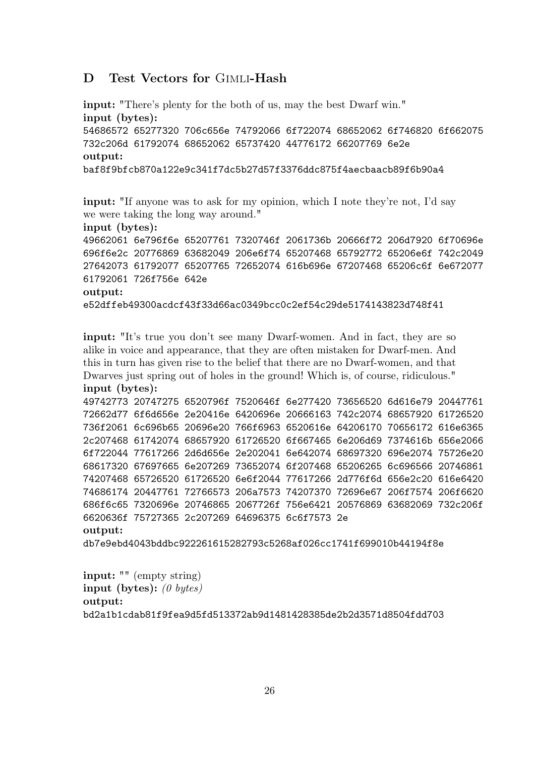## D Test Vectors for GIMLI-Hash

input: "There's plenty for the both of us, may the best Dwarf win." input (bytes): 54686572 65277320 706c656e 74792066 6f722074 68652062 6f746820 6f662075 732c206d 61792074 68652062 65737420 44776172 66207769 6e2e output: baf8f9bfcb870a122e9c341f7dc5b27d57f3376ddc875f4aecbaacb89f6b90a4

input: "If anyone was to ask for my opinion, which I note they're not, I'd say we were taking the long way around."

```
input (bytes):
```
49662061 6e796f6e 65207761 7320746f 2061736b 20666f72 206d7920 6f70696e 696f6e2c 20776869 63682049 206e6f74 65207468 65792772 65206e6f 742c2049 27642073 61792077 65207765 72652074 616b696e 67207468 65206c6f 6e672077 61792061 726f756e 642e output: e52dffeb49300acdcf43f33d66ac0349bcc0c2ef54c29de5174143823d748f41

input: "It's true you don't see many Dwarf-women. And in fact, they are so alike in voice and appearance, that they are often mistaken for Dwarf-men. And this in turn has given rise to the belief that there are no Dwarf-women, and that Dwarves just spring out of holes in the ground! Which is, of course, ridiculous."

```
input (bytes):
```

```
49742773 20747275 6520796f 7520646f 6e277420 73656520 6d616e79 20447761
72662d77 6f6d656e 2e20416e 6420696e 20666163 742c2074 68657920 61726520
736f2061 6c696b65 20696e20 766f6963 6520616e 64206170 70656172 616e6365
2c207468 61742074 68657920 61726520 6f667465 6e206d69 7374616b 656e2066
6f722044 77617266 2d6d656e 2e202041 6e642074 68697320 696e2074 75726e20
68617320 67697665 6e207269 73652074 6f207468 65206265 6c696566 20746861
74207468 65726520 61726520 6e6f2044 77617266 2d776f6d 656e2c20 616e6420
74686174 20447761 72766573 206a7573 74207370 72696e67 206f7574 206f6620
686f6c65 7320696e 20746865 2067726f 756e6421 20576869 63682069 732c206f
6620636f 75727365 2c207269 64696375 6c6f7573 2e
output:
db7e9ebd4043bddbc922261615282793c5268af026cc1741f699010b44194f8e
```

```
input: "" (empty string)
input (bytes): (0 \text{ bytes})output:
bd2a1b1cdab81f9fea9d5fd513372ab9d1481428385de2b2d3571d8504fdd703
```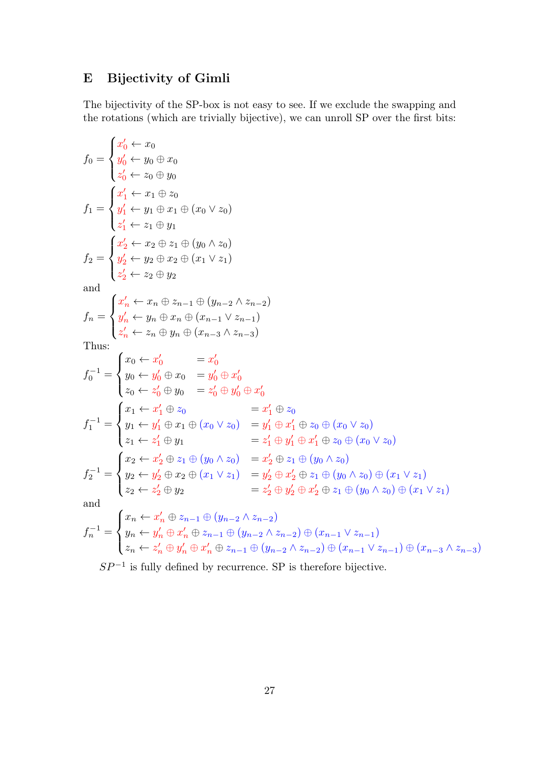# E Bijectivity of Gimli

The bijectivity of the SP-box is not easy to see. If we exclude the swapping and the rotations (which are trivially bijective), we can unroll SP over the first bits:

$$
f_0 =\begin{cases} x'_0 \leftarrow x_0 \\ y'_0 \leftarrow y_0 \oplus x_0 \\ z'_0 \leftarrow z_0 \oplus y_0 \\ y'_1 \leftarrow y_1 \oplus x_1 \oplus (x_0 \vee z_0) \end{cases} f_1 =\begin{cases} x'_1 \leftarrow x_1 \oplus z_0 \\ y'_1 \leftarrow y_1 \oplus x_1 \oplus (x_0 \vee z_0) \\ z'_2 \leftarrow z_2 \oplus z_1 \oplus (y_0 \wedge z_0) \end{cases} f_2 =\begin{cases} x'_2 \leftarrow x_2 \oplus z_1 \oplus (y_0 \wedge z_0) \\ y'_2 \leftarrow y_2 \oplus x_2 \oplus (x_1 \vee z_1) \\ z'_2 \leftarrow z_2 \oplus y_2 \end{cases} \nand f_n = \begin{cases} x'_n \leftarrow x_n \oplus z_{n-1} \oplus (y_{n-2} \wedge z_{n-2}) \\ y'_n \leftarrow y_n \oplus x_n \oplus (x_{n-1} \vee z_{n-1}) \\ z'_n \leftarrow z_n \oplus y_n \oplus (x_{n-3} \wedge z_{n-3}) \end{cases} \nThus: f_0^{-1} = \begin{cases} x_0 \leftarrow x'_0 & = x'_0 \\ y_0 \leftarrow y'_0 \oplus x_0 & = y'_0 \oplus x'_0 \\ z_0 \leftarrow z'_0 \oplus y_0 & = z'_0 \oplus y'_0 \oplus x'_0 \end{cases} f_1^{-1} = \begin{cases} x_1 \leftarrow x'_1 \oplus z_0 & = x'_1 \oplus z_0 \\ y_1 \leftarrow y'_1 \oplus x_1 \oplus (x_0 \vee z_0) & = y'_1 \oplus x'_1 \oplus z_0 \oplus (x_0 \vee z_0) \\ z_1 \leftarrow z'_1 \oplus y_1 & = z'_1 \oplus y'_1 \oplus x'_1 \oplus z_0 \oplus (x_0 \vee z_0) \end{cases} f_2^{-1} = \begin{cases} x_2 \leftarrow x'_2 \oplus z_1 \oplus (y_0 \wedge z_0) & = x'_2 \oplus z_1 \oplus (y_0 \wedge z_0) \\ y_2 \leftarrow y'_2 \oplus x_2 \oplus (x_1 \vee z_1) & = y'_2 \oplus x'_2 \oplus
$$

$$
(z_n \leftarrow z_n' \oplus y_n' \oplus x_n' \oplus z_{n-1} \oplus (y_{n-2} \wedge z_{n-2}) \oplus (x_{n-1} \vee z_{n-1}) \oplus (x_{n-3} \wedge z_{n-3})
$$

 $SP^{-1}$  is fully defined by recurrence. SP is therefore bijective.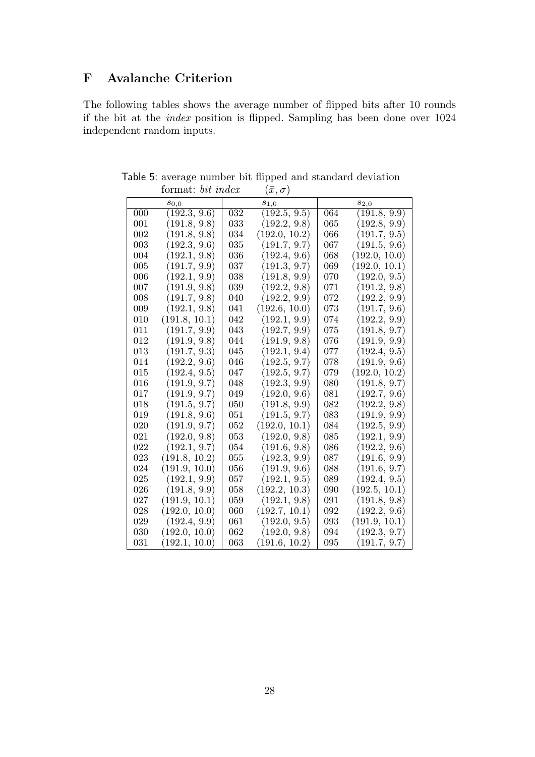# <span id="page-27-1"></span>F Avalanche Criterion

The following tables shows the average number of flipped bits after 10 rounds if the bit at the index position is flipped. Sampling has been done over 1024 independent random inputs.

<span id="page-27-0"></span>

|     | format: <i>bit index</i> |                  | $(\bar{x}, \sigma)$       |     |               |
|-----|--------------------------|------------------|---------------------------|-----|---------------|
|     | $s_{0,0}$                |                  | $s_{1,0}$                 |     | $s_{2,0}$     |
| 000 | (192.3, 9.6)             | $\overline{032}$ | $\overline{(192.5, 9.5)}$ | 064 | (191.8, 9.9)  |
| 001 | (191.8, 9.8)             | 033              | (192.2, 9.8)              | 065 | (192.8, 9.9)  |
| 002 | (191.8, 9.8)             | 034              | (192.0, 10.2)             | 066 | (191.7, 9.5)  |
| 003 | (192.3, 9.6)             | 035              | (191.7, 9.7)              | 067 | (191.5, 9.6)  |
| 004 | (192.1, 9.8)             | 036              | (192.4, 9.6)              | 068 | (192.0, 10.0) |
| 005 | (191.7, 9.9)             | 037              | (191.3, 9.7)              | 069 | (192.0, 10.1) |
| 006 | (192.1, 9.9)             | 038              | (191.8, 9.9)              | 070 | (192.0, 9.5)  |
| 007 | (191.9, 9.8)             | 039              | (192.2, 9.8)              | 071 | (191.2, 9.8)  |
| 008 | (191.7, 9.8)             | 040              | (192.2, 9.9)              | 072 | (192.2, 9.9)  |
| 009 | (192.1, 9.8)             | 041              | (192.6, 10.0)             | 073 | (191.7, 9.6)  |
| 010 | (191.8, 10.1)            | 042              | (192.1, 9.9)              | 074 | (192.2, 9.9)  |
| 011 | (191.7, 9.9)             | 043              | (192.7, 9.9)              | 075 | (191.8, 9.7)  |
| 012 | (191.9, 9.8)             | 044              | (191.9, 9.8)              | 076 | (191.9, 9.9)  |
| 013 | (191.7, 9.3)             | 045              | 192.1, 9.4)               | 077 | (192.4, 9.5)  |
| 014 | (192.2, 9.6)             | 046              | 192.5, 9.7)               | 078 | (191.9, 9.6)  |
| 015 | (192.4, 9.5)             | 047              | (192.5, 9.7)              | 079 | (192.0, 10.2) |
| 016 | (191.9, 9.7)             | 048              | (192.3, 9.9)              | 080 | (191.8, 9.7)  |
| 017 | (191.9, 9.7)             | 049              | (192.0, 9.6)              | 081 | (192.7, 9.6)  |
| 018 | (191.5, 9.7)             | 050              | (191.8, 9.9)              | 082 | (192.2, 9.8)  |
| 019 | (191.8, 9.6)             | 051              | (191.5, 9.7)              | 083 | (191.9, 9.9)  |
| 020 | (191.9, 9.7)             | 052              | (192.0, 10.1)             | 084 | (192.5, 9.9)  |
| 021 | (192.0, 9.8)             | 053              | (192.0, 9.8)              | 085 | (192.1, 9.9)  |
| 022 | (192.1, 9.7)             | 054              | (191.6, 9.8)              | 086 | (192.2, 9.6)  |
| 023 | (191.8, 10.2)            | 055              | (192.3, 9.9)              | 087 | (191.6, 9.9)  |
| 024 | (191.9, 10.0)            | 056              | (191.9, 9.6)              | 088 | (191.6, 9.7)  |
| 025 | (192.1, 9.9)             | 057              | (192.1, 9.5)              | 089 | (192.4, 9.5)  |
| 026 | (191.8, 9.9)             | 058              | (192.2, 10.3)             | 090 | (192.5, 10.1) |
| 027 | (191.9, 10.1)            | 059              | (192.1, 9.8)              | 091 | (191.8, 9.8)  |
| 028 | (192.0, 10.0)            | 060              | (192.7, 10.1)             | 092 | (192.2, 9.6)  |
| 029 | (192.4, 9.9)             | 061              | (192.0, 9.5)              | 093 | (191.9, 10.1) |
| 030 | (192.0, 10.0)            | 062              | (192.0, 9.8)              | 094 | (192.3, 9.7)  |
| 031 | (192.1, 10.0)            | 063              | (191.6, 10.2)             | 095 | (191.7, 9.7)  |

Table 5: average number bit flipped and standard deviation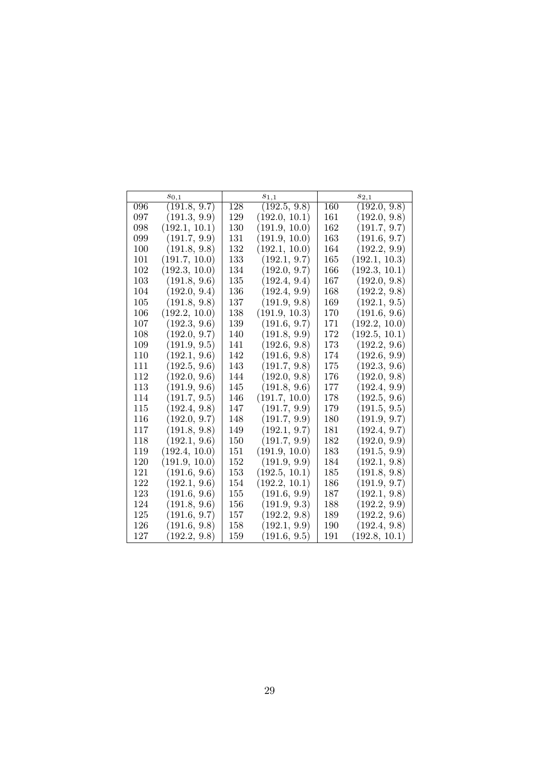|                  | $s_{0,1}$     |                  | $s_{1,1}$     |     | $s_{2,1}$     |
|------------------|---------------|------------------|---------------|-----|---------------|
| $\overline{096}$ | (191.8, 9.7)  | $\overline{128}$ | (192.5, 9.8)  | 160 | (192.0, 9.8)  |
| 097              | (191.3, 9.9)  | 129              | (192.0, 10.1) | 161 | (192.0, 9.8)  |
| 098              | (192.1, 10.1) | 130              | (191.9, 10.0) | 162 | (191.7, 9.7)  |
| 099              | (191.7, 9.9)  | 131              | (191.9, 10.0) | 163 | (191.6, 9.7)  |
| 100              | (191.8, 9.8)  | 132              | (192.1, 10.0) | 164 | (192.2, 9.9)  |
| 101              | (191.7, 10.0) | 133              | (192.1, 9.7)  | 165 | (192.1, 10.3) |
| 102              | (192.3, 10.0) | 134              | (192.0, 9.7)  | 166 | (192.3, 10.1) |
| 103              | (191.8, 9.6)  | 135              | (192.4, 9.4)  | 167 | (192.0, 9.8)  |
| 104              | (192.0, 9.4)  | 136              | (192.4, 9.9)  | 168 | (192.2, 9.8)  |
| 105              | (191.8, 9.8)  | 137              | (191.9, 9.8)  | 169 | (192.1, 9.5)  |
| 106              | (192.2, 10.0) | 138              | (191.9, 10.3) | 170 | (191.6, 9.6)  |
| 107              | (192.3, 9.6)  | 139              | (191.6, 9.7)  | 171 | (192.2, 10.0) |
| 108              | (192.0, 9.7)  | 140              | (191.8, 9.9)  | 172 | (192.5, 10.1) |
| 109              | (191.9, 9.5)  | 141              | (192.6, 9.8)  | 173 | (192.2, 9.6)  |
| 110              | (192.1, 9.6)  | 142              | (191.6, 9.8)  | 174 | (192.6, 9.9)  |
| 111              | (192.5, 9.6)  | 143              | (191.7, 9.8)  | 175 | (192.3, 9.6)  |
| 112              | (192.0, 9.6)  | 144              | (192.0, 9.8)  | 176 | (192.0, 9.8)  |
| 113              | (191.9, 9.6)  | 145              | (191.8, 9.6)  | 177 | (192.4, 9.9)  |
| 114              | (191.7, 9.5)  | 146              | (191.7, 10.0) | 178 | (192.5, 9.6)  |
| 115              | (192.4, 9.8)  | 147              | (191.7, 9.9)  | 179 | (191.5, 9.5)  |
| 116              | (192.0, 9.7)  | 148              | (191.7, 9.9)  | 180 | (191.9, 9.7)  |
| 117              | (191.8, 9.8)  | 149              | (192.1, 9.7)  | 181 | (192.4, 9.7)  |
| 118              | (192.1, 9.6)  | 150              | (191.7, 9.9)  | 182 | (192.0, 9.9)  |
| 119              | (192.4, 10.0) | 151              | (191.9, 10.0) | 183 | (191.5, 9.9)  |
| 120              | (191.9, 10.0) | 152              | (191.9, 9.9)  | 184 | (192.1, 9.8)  |
| 121              | (191.6, 9.6)  | 153              | (192.5, 10.1) | 185 | 191.8, 9.8    |
| 122              | (192.1, 9.6)  | 154              | (192.2, 10.1) | 186 | 191.9, 9.7    |
| 123              | (191.6, 9.6)  | 155              | (191.6, 9.9)  | 187 | (192.1, 9.8)  |
| 124              | (191.8, 9.6)  | 156              | (191.9, 9.3)  | 188 | (192.2, 9.9)  |
| 125              | (191.6, 9.7)  | 157              | (192.2, 9.8)  | 189 | (192.2, 9.6)  |
| 126              | (191.6, 9.8)  | 158              | (192.1, 9.9)  | 190 | (192.4, 9.8)  |
| 127              | (192.2, 9.8)  | 159              | (191.6, 9.5)  | 191 | (192.8, 10.1) |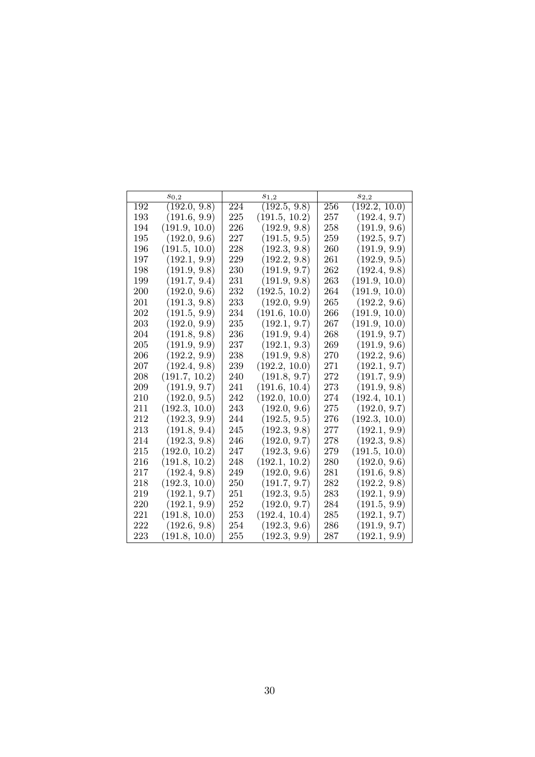|     | $s_{0,2}$     |                  | $s_{1,2}$     |     | $s_{2,2}$                  |
|-----|---------------|------------------|---------------|-----|----------------------------|
| 192 | (192.0, 9.8)  | $\overline{224}$ | (192.5, 9.8)  | 256 | $\overline{(192.2, 10.0)}$ |
| 193 | (191.6, 9.9)  | 225              | (191.5, 10.2) | 257 | (192.4, 9.7)               |
| 194 | (191.9, 10.0) | 226              | (192.9, 9.8)  | 258 | (191.9, 9.6)               |
| 195 | (192.0, 9.6)  | 227              | (191.5, 9.5)  | 259 | (192.5, 9.7)               |
| 196 | (191.5, 10.0) | 228              | (192.3, 9.8)  | 260 | (191.9, 9.9)               |
| 197 | (192.1, 9.9)  | 229              | (192.2, 9.8)  | 261 | (192.9, 9.5)               |
| 198 | (191.9, 9.8)  | 230              | (191.9, 9.7)  | 262 | (192.4, 9.8)               |
| 199 | (191.7, 9.4)  | 231              | (191.9, 9.8)  | 263 | (191.9, 10.0)              |
| 200 | (192.0, 9.6)  | 232              | (192.5, 10.2) | 264 | (191.9, 10.0)              |
| 201 | (191.3, 9.8)  | 233              | (192.0, 9.9)  | 265 | (192.2, 9.6)               |
| 202 | (191.5, 9.9)  | 234              | (191.6, 10.0) | 266 | (191.9, 10.0)              |
| 203 | (192.0, 9.9)  | 235              | (192.1, 9.7)  | 267 | (191.9, 10.0)              |
| 204 | (191.8, 9.8)  | 236              | (191.9, 9.4)  | 268 | (191.9, 9.7)               |
| 205 | (191.9, 9.9)  | 237              | (192.1, 9.3)  | 269 | (191.9, 9.6)               |
| 206 | (192.2, 9.9)  | 238              | (191.9, 9.8)  | 270 | (192.2, 9.6)               |
| 207 | (192.4, 9.8)  | 239              | (192.2, 10.0) | 271 | (192.1, 9.7)               |
| 208 | (191.7, 10.2) | 240              | (191.8, 9.7)  | 272 | (191.7, 9.9)               |
| 209 | (191.9, 9.7)  | 241              | (191.6, 10.4) | 273 | (191.9, 9.8)               |
| 210 | (192.0, 9.5)  | 242              | (192.0, 10.0) | 274 | (192.4, 10.1)              |
| 211 | (192.3, 10.0) | 243              | (192.0, 9.6)  | 275 | (192.0, 9.7)               |
| 212 | (192.3, 9.9)  | 244              | (192.5, 9.5)  | 276 | (192.3, 10.0)              |
| 213 | (191.8, 9.4)  | 245              | (192.3, 9.8)  | 277 | (192.1, 9.9)               |
| 214 | (192.3, 9.8)  | 246              | (192.0, 9.7)  | 278 | (192.3, 9.8)               |
| 215 | (192.0, 10.2) | 247              | (192.3, 9.6)  | 279 | (191.5, 10.0)              |
| 216 | (191.8, 10.2) | 248              | (192.1, 10.2) | 280 | (192.0, 9.6)               |
| 217 | (192.4, 9.8)  | 249              | (192.0, 9.6)  | 281 | (191.6, 9.8)               |
| 218 | (192.3, 10.0) | 250              | (191.7, 9.7)  | 282 | (192.2, 9.8)               |
| 219 | (192.1, 9.7)  | 251              | (192.3, 9.5)  | 283 | (192.1, 9.9)               |
| 220 | (192.1, 9.9)  | 252              | (192.0, 9.7)  | 284 | (191.5, 9.9)               |
| 221 | (191.8, 10.0) | 253              | (192.4, 10.4) | 285 | (192.1, 9.7)               |
| 222 | (192.6, 9.8)  | 254              | (192.3, 9.6)  | 286 | (191.9, 9.7)               |
| 223 | (191.8, 10.0) | 255              | (192.3, 9.9)  | 287 | (192.1, 9.9)               |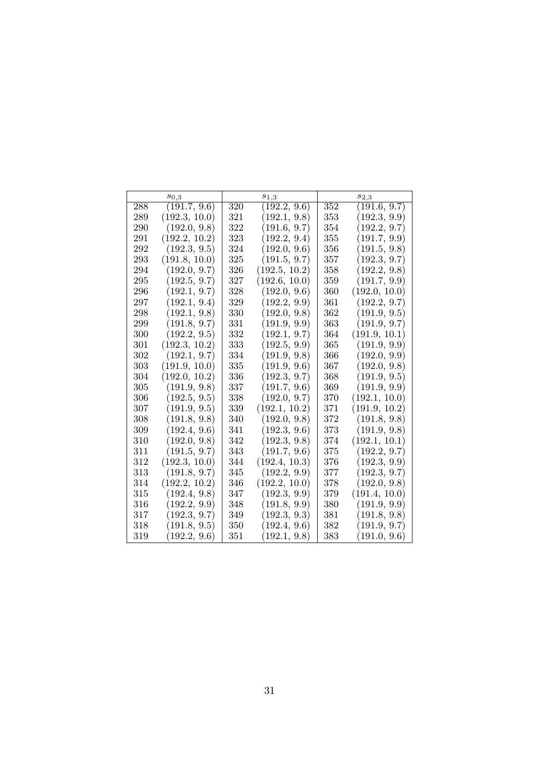|     | $s_{0,3}$     |     | $s_{1,3}$     |                  | $s_{2,3}$        |
|-----|---------------|-----|---------------|------------------|------------------|
| 288 | (191.7, 9.6)  | 320 | (192.2, 9.6)  | $\overline{352}$ | (191.6, 9.7)     |
| 289 |               |     | (192.1, 9.8)  | 353              |                  |
|     | (192.3, 10.0) | 321 |               |                  | $(192.3,\, 9.9)$ |
| 290 | (192.0, 9.8)  | 322 | 191.6, 9.7    | 354              | 192.2, 9.7       |
| 291 | (192.2, 10.2) | 323 | (192.2, 9.4)  | 355              | $(191.7,\, 9.9)$ |
| 292 | (192.3, 9.5)  | 324 | (192.0, 9.6)  | 356              | (191.5, 9.8)     |
| 293 | (191.8, 10.0) | 325 | (191.5, 9.7)  | 357              | (192.3, 9.7)     |
| 294 | (192.0, 9.7)  | 326 | (192.5, 10.2) | 358              | (192.2, 9.8)     |
| 295 | (192.5, 9.7)  | 327 | (192.6, 10.0) | 359              | (191.7, 9.9)     |
| 296 | (192.1, 9.7)  | 328 | (192.0, 9.6)  | 360              | (192.0, 10.0)    |
| 297 | (192.1, 9.4)  | 329 | (192.2, 9.9)  | 361              | (192.2, 9.7)     |
| 298 | (192.1, 9.8)  | 330 | 192.0, 9.8    | 362              | (191.9, 9.5)     |
| 299 | (191.8, 9.7)  | 331 | (191.9, 9.9)  | 363              | (191.9, 9.7)     |
| 300 | (192.2, 9.5)  | 332 | (192.1, 9.7)  | 364              | (191.9, 10.1)    |
| 301 | (192.3, 10.2) | 333 | (192.5, 9.9)  | 365              | (191.9, 9.9)     |
| 302 | (192.1, 9.7)  | 334 | (191.9, 9.8)  | 366              | (192.0, 9.9)     |
| 303 | (191.9, 10.0) | 335 | (191.9, 9.6)  | 367              | (192.0, 9.8)     |
| 304 | (192.0, 10.2) | 336 | (192.3, 9.7)  | 368              | (191.9, 9.5)     |
| 305 | (191.9, 9.8)  | 337 | (191.7, 9.6)  | 369              | (191.9, 9.9)     |
| 306 | (192.5, 9.5)  | 338 | (192.0, 9.7)  | 370              | (192.1, 10.0)    |
| 307 | (191.9, 9.5)  | 339 | (192.1, 10.2) | 371              | (191.9, 10.2)    |
| 308 | (191.8, 9.8)  | 340 | (192.0, 9.8)  | 372              | (191.8, 9.8)     |
| 309 | (192.4, 9.6)  | 341 | (192.3, 9.6)  | 373              | (191.9, 9.8)     |
| 310 | (192.0, 9.8)  | 342 | (192.3, 9.8)  | 374              | (192.1, 10.1)    |
| 311 | (191.5, 9.7)  | 343 | (191.7, 9.6)  | 375              | (192.2, 9.7)     |
| 312 | (192.3, 10.0) | 344 | (192.4, 10.3) | 376              | (192.3, 9.9)     |
| 313 | (191.8, 9.7)  | 345 | (192.2, 9.9)  | 377              | (192.3, 9.7)     |
| 314 | (192.2, 10.2) | 346 | (192.2, 10.0) | 378              | (192.0, 9.8)     |
| 315 | (192.4, 9.8)  | 347 | (192.3, 9.9)  | 379              | (191.4, 10.0)    |
| 316 | (192.2, 9.9)  | 348 | (191.8, 9.9)  | 380              | (191.9, 9.9)     |
| 317 | (192.3, 9.7)  | 349 | (192.3, 9.3)  | 381              | (191.8, 9.8)     |
| 318 | (191.8, 9.5)  | 350 | (192.4, 9.6)  | 382              | 191.9, 9.7       |
| 319 | (192.2, 9.6)  | 351 | (192.1, 9.8)  | 383              | (191.0, 9.6)     |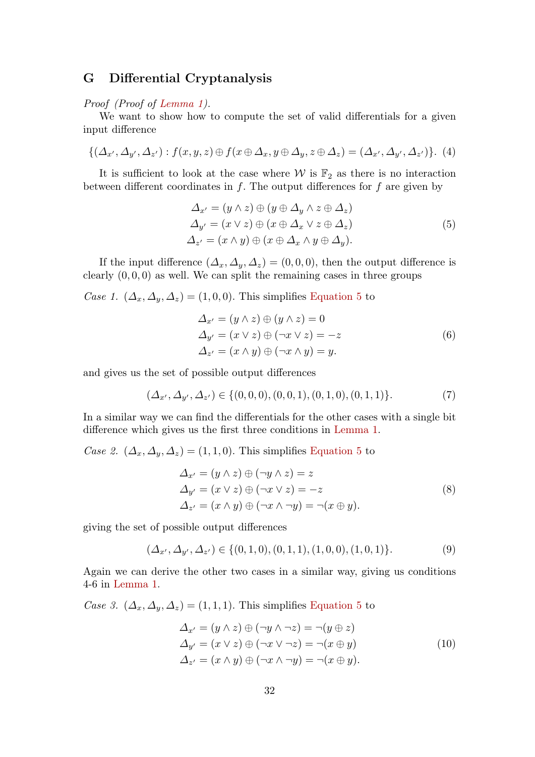## <span id="page-31-0"></span>G Differential Cryptanalysis

### Proof (Proof of [Lemma 1\)](#page-9-1).

We want to show how to compute the set of valid differentials for a given input difference

$$
\{(\Delta_{x'}, \Delta_{y'}, \Delta_{z'}) : f(x, y, z) \oplus f(x \oplus \Delta_x, y \oplus \Delta_y, z \oplus \Delta_z) = (\Delta_{x'}, \Delta_{y'}, \Delta_{z'})\}.
$$
 (4)

It is sufficient to look at the case where  $W$  is  $\mathbb{F}_2$  as there is no interaction between different coordinates in  $f$ . The output differences for  $f$  are given by

<span id="page-31-1"></span>
$$
\Delta_{x'} = (y \wedge z) \oplus (y \oplus \Delta_y \wedge z \oplus \Delta_z) \n\Delta_{y'} = (x \vee z) \oplus (x \oplus \Delta_x \vee z \oplus \Delta_z) \n\Delta_{z'} = (x \wedge y) \oplus (x \oplus \Delta_x \wedge y \oplus \Delta_y).
$$
\n(5)

If the input difference  $(\Delta_x, \Delta_y, \Delta_z) = (0, 0, 0)$ , then the output difference is clearly  $(0, 0, 0)$  as well. We can split the remaining cases in three groups

Case 1.  $(\Delta_x, \Delta_y, \Delta_z) = (1, 0, 0)$ . This simplifies [Equation 5](#page-31-1) to

$$
\Delta_{x'} = (y \wedge z) \oplus (y \wedge z) = 0
$$
  
\n
$$
\Delta_{y'} = (x \vee z) \oplus (\neg x \vee z) = -z
$$
  
\n
$$
\Delta_{z'} = (x \wedge y) \oplus (\neg x \wedge y) = y.
$$
\n(6)

and gives us the set of possible output differences

$$
(\Delta_{x'}, \Delta_{y'}, \Delta_{z'}) \in \{ (0, 0, 0), (0, 0, 1), (0, 1, 0), (0, 1, 1) \}.
$$
 (7)

In a similar way we can find the differentials for the other cases with a single bit difference which gives us the first three conditions in [Lemma 1.](#page-9-1)

Case 2.  $(\Delta_x, \Delta_y, \Delta_z) = (1, 1, 0)$ . This simplifies [Equation 5](#page-31-1) to

$$
\Delta_{x'} = (y \wedge z) \oplus (\neg y \wedge z) = z
$$
  
\n
$$
\Delta_{y'} = (x \vee z) \oplus (\neg x \vee z) = -z
$$
  
\n
$$
\Delta_{z'} = (x \wedge y) \oplus (\neg x \wedge \neg y) = \neg(x \oplus y).
$$
\n(8)

giving the set of possible output differences

$$
(\Delta_{x'}, \Delta_{y'}, \Delta_{z'}) \in \{ (0, 1, 0), (0, 1, 1), (1, 0, 0), (1, 0, 1) \}.
$$
 (9)

Again we can derive the other two cases in a similar way, giving us conditions 4-6 in [Lemma 1.](#page-9-1)

Case 3.  $(\Delta_x, \Delta_y, \Delta_z) = (1, 1, 1)$ . This simplifies [Equation 5](#page-31-1) to

$$
\Delta_{x'} = (y \wedge z) \oplus (\neg y \wedge \neg z) = \neg (y \oplus z)
$$
  
\n
$$
\Delta_{y'} = (x \vee z) \oplus (\neg x \vee \neg z) = \neg (x \oplus y)
$$
  
\n
$$
\Delta_{z'} = (x \wedge y) \oplus (\neg x \wedge \neg y) = \neg (x \oplus y).
$$
\n(10)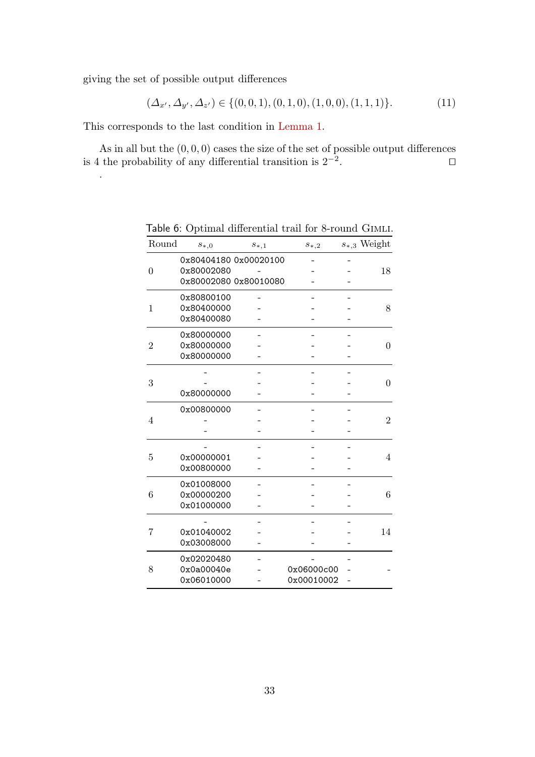giving the set of possible output differences

.

$$
(\Delta_{x'}, \Delta_{y'}, \Delta_{z'}) \in \{ (0, 0, 1), (0, 1, 0), (1, 0, 0), (1, 1, 1) \}. \tag{11}
$$

This corresponds to the last condition in [Lemma 1.](#page-9-1)

As in all but the  $(0, 0, 0)$  cases the size of the set of possible output differences is 4 the probability of any differential transition is  $2^{-2}$ . The contract of  $\Box$ 

| Round          | $s_{*,0}$             | $s_{*,1}$ | $s_{*,2}$  | $s_{*,3}$ Weight |
|----------------|-----------------------|-----------|------------|------------------|
|                | 0x80404180 0x00020100 |           |            |                  |
| $\overline{0}$ | 0x80002080            |           |            | 18               |
|                | 0x80002080 0x80010080 |           |            |                  |
|                | 0x80800100            |           |            |                  |
| 1              | 0x80400000            |           |            | 8                |
|                | 0x80400080            |           |            |                  |
|                | 0x80000000            |           |            |                  |
| $\overline{2}$ | 0x80000000            |           |            | 0                |
|                | 0x80000000            |           |            |                  |
|                |                       |           |            |                  |
| 3              |                       |           |            | $\Omega$         |
|                | 0x80000000            |           |            |                  |
|                | 0x00800000            |           |            |                  |
| $\overline{4}$ |                       |           |            | $\overline{2}$   |
|                |                       |           |            |                  |
|                |                       |           |            |                  |
| 5              | 0x00000001            |           |            | 4                |
|                | 0x00800000            |           |            |                  |
|                | 0x01008000            |           |            |                  |
| 6              | 0x00000200            |           |            | 6                |
|                | 0x01000000            |           |            |                  |
|                |                       |           |            |                  |
| 7              | 0x01040002            |           |            | 14               |
|                | 0x03008000            |           |            |                  |
|                | 0x02020480            |           |            |                  |
| 8              | 0x0a00040e            |           | 0x06000c00 |                  |
|                | 0x06010000            |           | 0x00010002 |                  |

<span id="page-32-0"></span>Table 6: Optimal differential trail for 8-round Gimli.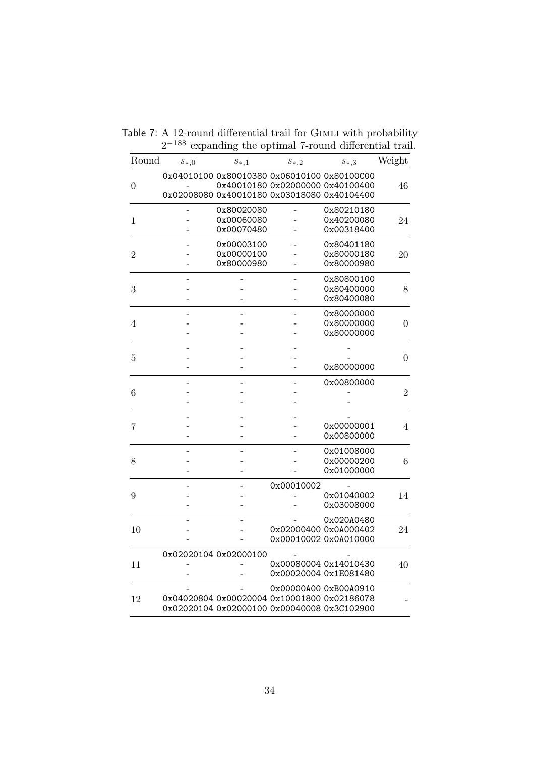| Round            | $s_{*,0}$ | $s_{*,1}$                                   | $s_{*,2}$                        | $s_{*,3}$             | Weight         |
|------------------|-----------|---------------------------------------------|----------------------------------|-----------------------|----------------|
| $\boldsymbol{0}$ |           |                                             |                                  |                       |                |
|                  |           |                                             | 0x40010180 0x02000000 0x40100400 |                       | 46             |
|                  |           | 0x02008080 0x40010180 0x03018080 0x40104400 |                                  |                       |                |
| 1                |           | 0x80020080                                  |                                  | 0x80210180            |                |
|                  |           | 0x00060080                                  |                                  | 0x40200080            | 24             |
|                  |           | 0x00070480                                  |                                  | 0x00318400            |                |
| $\overline{2}$   |           | 0x00003100                                  |                                  | 0x80401180            |                |
|                  |           | 0x00000100                                  |                                  | 0x80000180            |                |
|                  |           | 0x80000980                                  |                                  | 0x80000980            | 20             |
|                  |           |                                             |                                  |                       |                |
|                  |           |                                             |                                  | 0x80800100            |                |
| 3                |           |                                             |                                  | 0x80400000            | 8              |
|                  |           |                                             |                                  | 0x80400080            |                |
|                  |           |                                             |                                  | 0x80000000            |                |
| 4                |           |                                             |                                  | 0x80000000            | 0              |
|                  |           |                                             |                                  | 0x80000000            |                |
|                  |           |                                             |                                  |                       |                |
| 5                |           |                                             |                                  |                       | 0              |
|                  |           |                                             |                                  | 0x80000000            |                |
|                  |           |                                             |                                  | 0x00800000            |                |
| 6                |           |                                             |                                  |                       | $\overline{2}$ |
|                  |           |                                             |                                  |                       |                |
|                  |           |                                             |                                  |                       |                |
| 7                |           |                                             |                                  | 0x00000001            | $\overline{4}$ |
|                  |           |                                             |                                  | 0x00800000            |                |
|                  |           |                                             |                                  | 0x01008000            |                |
| 8                |           |                                             |                                  | 0x00000200            | 6              |
|                  |           |                                             |                                  | 0x01000000            |                |
|                  |           |                                             | 0x00010002                       |                       |                |
| 9                |           |                                             |                                  | 0x01040002            | 14             |
|                  |           |                                             |                                  | 0x03008000            |                |
| 10               |           |                                             |                                  | 0x020A0480            |                |
|                  |           |                                             |                                  | 0x02000400 0x0A000402 | 24             |
|                  |           |                                             |                                  | 0x00010002 0x0A010000 |                |
|                  |           |                                             |                                  |                       |                |
| 11               |           | 0x02020104 0x02000100                       |                                  |                       |                |
|                  |           |                                             |                                  | 0x00080004 0x14010430 | 40             |
|                  |           |                                             |                                  | 0x00020004 0x1E081480 |                |
|                  |           |                                             |                                  | 0x00000A00 0xB00A0910 |                |
| 12               |           | 0x04020804 0x00020004 0x10001800 0x02186078 |                                  |                       |                |
|                  |           | 0x02020104 0x02000100 0x00040008 0x3C102900 |                                  |                       |                |
|                  |           |                                             |                                  |                       |                |

<span id="page-33-0"></span>Table 7: A 12-round differential trail for GIMLI with probability 2<sup>−188</sup> expanding the optimal 7-round differential trail.